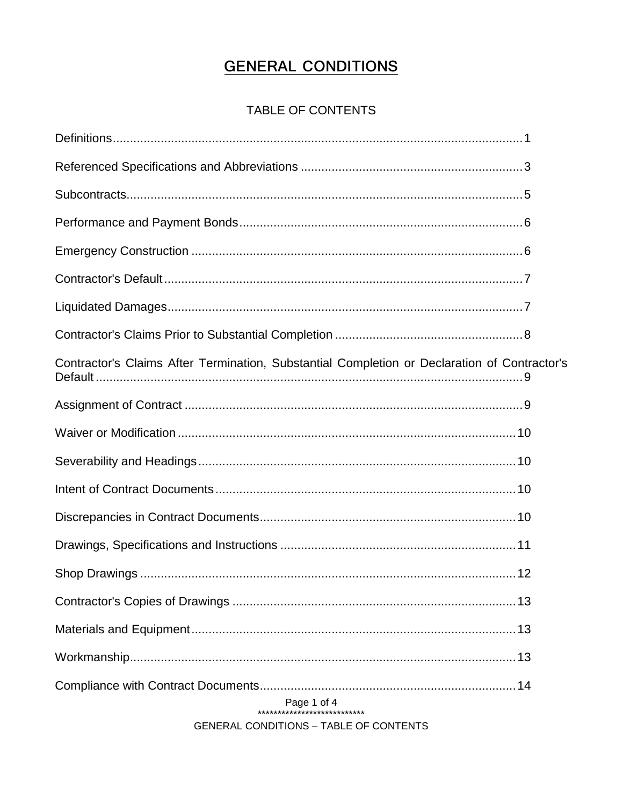# **GENERAL CONDITIONS**

# TABLE OF CONTENTS

| Contractor's Claims After Termination, Substantial Completion or Declaration of Contractor's |  |  |  |
|----------------------------------------------------------------------------------------------|--|--|--|
|                                                                                              |  |  |  |
|                                                                                              |  |  |  |
|                                                                                              |  |  |  |
|                                                                                              |  |  |  |
|                                                                                              |  |  |  |
|                                                                                              |  |  |  |
|                                                                                              |  |  |  |
|                                                                                              |  |  |  |
|                                                                                              |  |  |  |
|                                                                                              |  |  |  |
|                                                                                              |  |  |  |
| Page 1 of 4                                                                                  |  |  |  |

**GENERAL CONDITIONS - TABLE OF CONTENTS**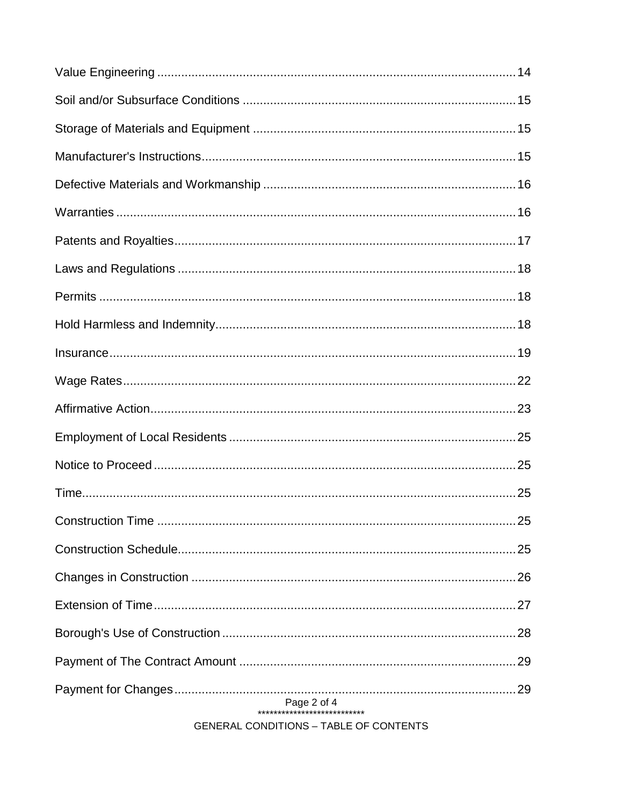| Page 2 of 4<br>**************************** |
|---------------------------------------------|

**GENERAL CONDITIONS - TABLE OF CONTENTS**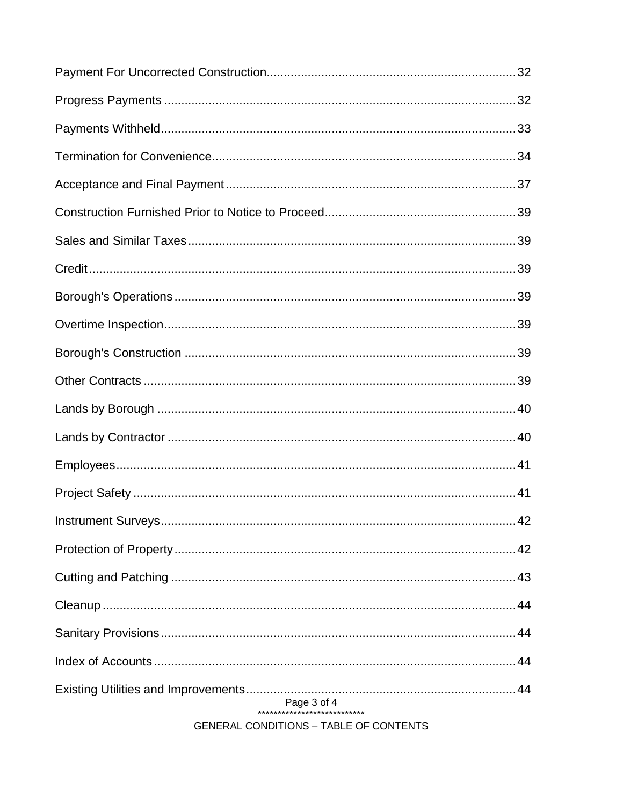| Page 3 of 4<br>**************************** |
|---------------------------------------------|

**GENERAL CONDITIONS - TABLE OF CONTENTS**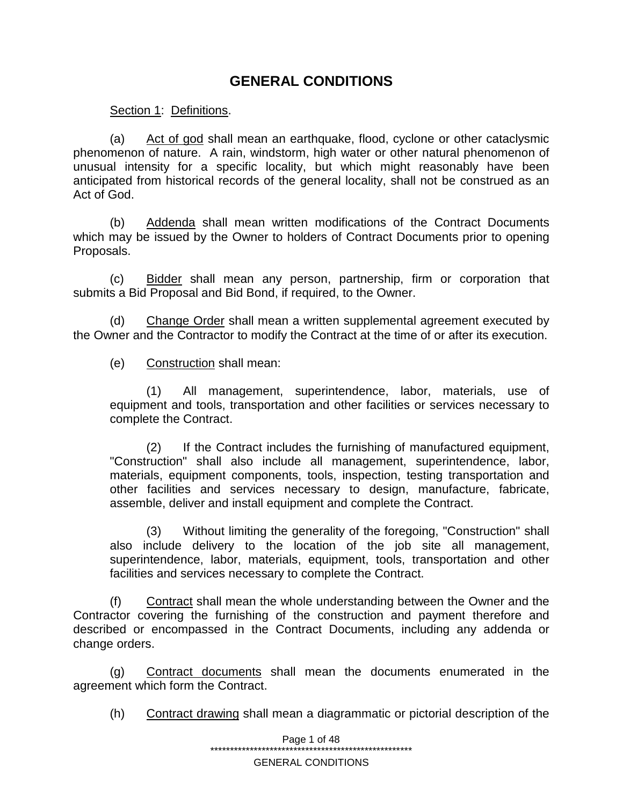# **GENERAL CONDITIONS**

Section 1: Definitions.

(a) Act of god shall mean an earthquake, flood, cyclone or other cataclysmic phenomenon of nature. A rain, windstorm, high water or other natural phenomenon of unusual intensity for a specific locality, but which might reasonably have been anticipated from historical records of the general locality, shall not be construed as an Act of God.

(b) Addenda shall mean written modifications of the Contract Documents which may be issued by the Owner to holders of Contract Documents prior to opening Proposals.

(c) Bidder shall mean any person, partnership, firm or corporation that submits a Bid Proposal and Bid Bond, if required, to the Owner.

(d) Change Order shall mean a written supplemental agreement executed by the Owner and the Contractor to modify the Contract at the time of or after its execution.

(e) Construction shall mean:

(1) All management, superintendence, labor, materials, use of equipment and tools, transportation and other facilities or services necessary to complete the Contract.

(2) If the Contract includes the furnishing of manufactured equipment, "Construction" shall also include all management, superintendence, labor, materials, equipment components, tools, inspection, testing transportation and other facilities and services necessary to design, manufacture, fabricate, assemble, deliver and install equipment and complete the Contract.

(3) Without limiting the generality of the foregoing, "Construction" shall also include delivery to the location of the job site all management, superintendence, labor, materials, equipment, tools, transportation and other facilities and services necessary to complete the Contract.

(f) Contract shall mean the whole understanding between the Owner and the Contractor covering the furnishing of the construction and payment therefore and described or encompassed in the Contract Documents, including any addenda or change orders.

(g) Contract documents shall mean the documents enumerated in the agreement which form the Contract.

(h) Contract drawing shall mean a diagrammatic or pictorial description of the

Page 1 of 48 \*\*\*\*\*\*\*\*\*\*\*\*\*\*\*\*\*\*\*\*\*\*\*\*\*\*\*\*\*\*\*\*\*\*\*\*\*\*\*\*\*\*\*\*\*\*\*\*\*\*\*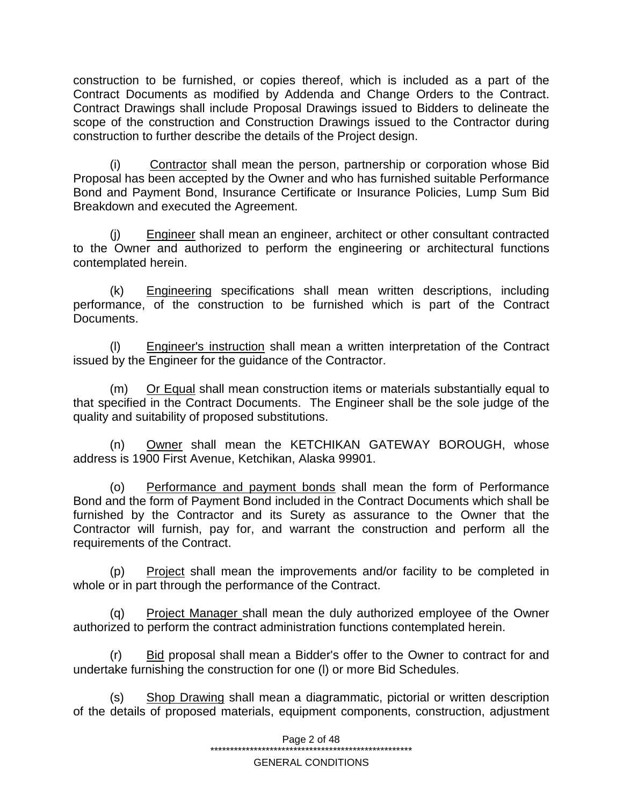construction to be furnished, or copies thereof, which is included as a part of the Contract Documents as modified by Addenda and Change Orders to the Contract. Contract Drawings shall include Proposal Drawings issued to Bidders to delineate the scope of the construction and Construction Drawings issued to the Contractor during construction to further describe the details of the Project design.

(i) Contractor shall mean the person, partnership or corporation whose Bid Proposal has been accepted by the Owner and who has furnished suitable Performance Bond and Payment Bond, Insurance Certificate or Insurance Policies, Lump Sum Bid Breakdown and executed the Agreement.

(j) Engineer shall mean an engineer, architect or other consultant contracted to the Owner and authorized to perform the engineering or architectural functions contemplated herein.

(k) Engineering specifications shall mean written descriptions, including performance, of the construction to be furnished which is part of the Contract Documents.

(l) Engineer's instruction shall mean a written interpretation of the Contract issued by the Engineer for the guidance of the Contractor.

(m) Or Equal shall mean construction items or materials substantially equal to that specified in the Contract Documents. The Engineer shall be the sole judge of the quality and suitability of proposed substitutions.

(n) Owner shall mean the KETCHIKAN GATEWAY BOROUGH, whose address is 1900 First Avenue, Ketchikan, Alaska 99901.

(o) Performance and payment bonds shall mean the form of Performance Bond and the form of Payment Bond included in the Contract Documents which shall be furnished by the Contractor and its Surety as assurance to the Owner that the Contractor will furnish, pay for, and warrant the construction and perform all the requirements of the Contract.

(p) Project shall mean the improvements and/or facility to be completed in whole or in part through the performance of the Contract.

(q) Project Manager shall mean the duly authorized employee of the Owner authorized to perform the contract administration functions contemplated herein.

(r) Bid proposal shall mean a Bidder's offer to the Owner to contract for and undertake furnishing the construction for one (l) or more Bid Schedules.

(s) Shop Drawing shall mean a diagrammatic, pictorial or written description of the details of proposed materials, equipment components, construction, adjustment

Page 2 of 48

\*\*\*\*\*\*\*\*\*\*\*\*\*\*\*\*\*\*\*\*\*\*\*\*\*\*\*\*\*\*\*\*\*\*\*\*\*\*\*\*\*\*\*\*\*\*\*\*\*\*\*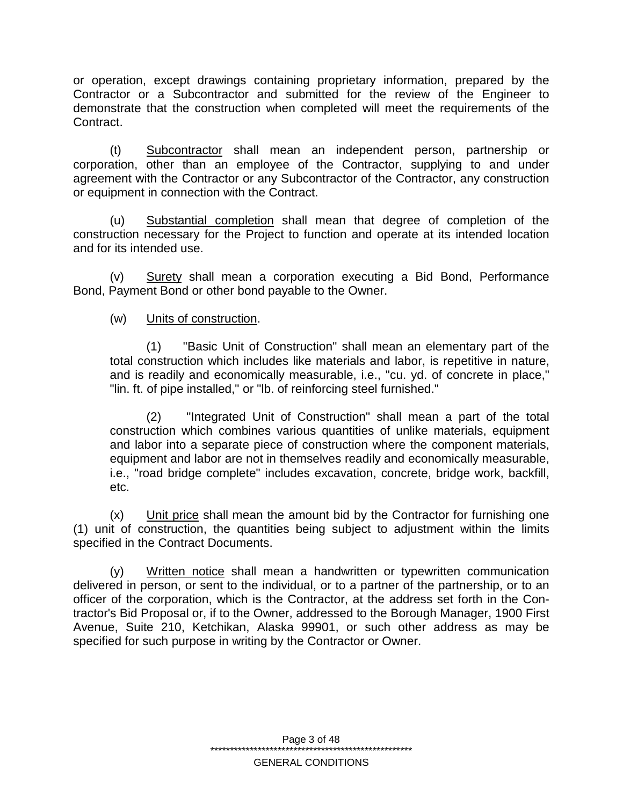or operation, except drawings containing proprietary information, prepared by the Contractor or a Subcontractor and submitted for the review of the Engineer to demonstrate that the construction when completed will meet the requirements of the Contract.

(t) Subcontractor shall mean an independent person, partnership or corporation, other than an employee of the Contractor, supplying to and under agreement with the Contractor or any Subcontractor of the Contractor, any construction or equipment in connection with the Contract.

(u) Substantial completion shall mean that degree of completion of the construction necessary for the Project to function and operate at its intended location and for its intended use.

(v) Surety shall mean a corporation executing a Bid Bond, Performance Bond, Payment Bond or other bond payable to the Owner.

# (w) Units of construction.

(1) "Basic Unit of Construction" shall mean an elementary part of the total construction which includes like materials and labor, is repetitive in nature, and is readily and economically measurable, i.e., "cu. yd. of concrete in place," "lin. ft. of pipe installed," or "lb. of reinforcing steel furnished."

(2) "Integrated Unit of Construction" shall mean a part of the total construction which combines various quantities of unlike materials, equipment and labor into a separate piece of construction where the component materials, equipment and labor are not in themselves readily and economically measurable, i.e., "road bridge complete" includes excavation, concrete, bridge work, backfill, etc.

 $(x)$  Unit price shall mean the amount bid by the Contractor for furnishing one (1) unit of construction, the quantities being subject to adjustment within the limits specified in the Contract Documents.

(y) Written notice shall mean a handwritten or typewritten communication delivered in person, or sent to the individual, or to a partner of the partnership, or to an officer of the corporation, which is the Contractor, at the address set forth in the Contractor's Bid Proposal or, if to the Owner, addressed to the Borough Manager, 1900 First Avenue, Suite 210, Ketchikan, Alaska 99901, or such other address as may be specified for such purpose in writing by the Contractor or Owner.

> Page 3 of 48 \*\*\*\*\*\*\*\*\*\*\*\*\*\*\*\*\*\*\*\*\*\*\*\*\*\*\*\*\*\*\*\*\*\*\*\*\*\*\*\*\*\*\*\*\*\*\*\*\*\*\* GENERAL CONDITIONS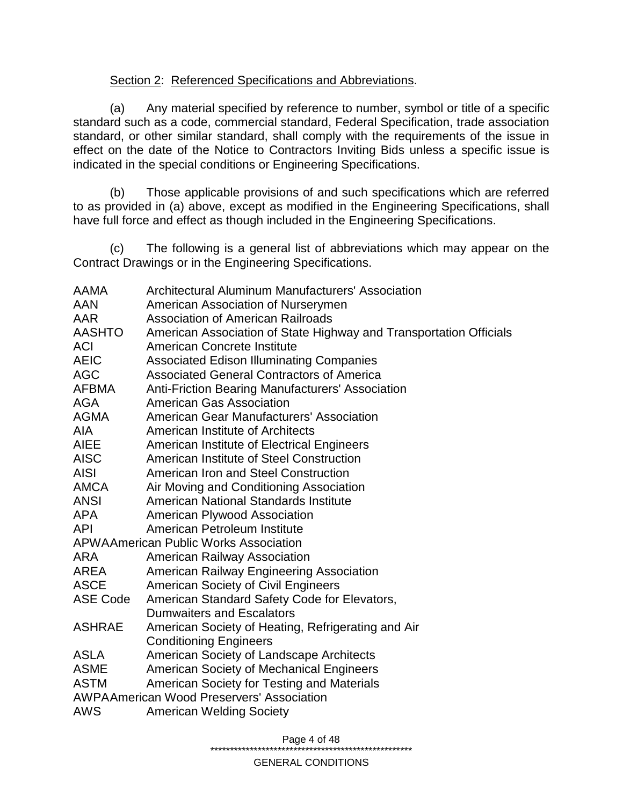### Section 2: Referenced Specifications and Abbreviations.

(a) Any material specified by reference to number, symbol or title of a specific standard such as a code, commercial standard, Federal Specification, trade association standard, or other similar standard, shall comply with the requirements of the issue in effect on the date of the Notice to Contractors Inviting Bids unless a specific issue is indicated in the special conditions or Engineering Specifications.

(b) Those applicable provisions of and such specifications which are referred to as provided in (a) above, except as modified in the Engineering Specifications, shall have full force and effect as though included in the Engineering Specifications.

(c) The following is a general list of abbreviations which may appear on the Contract Drawings or in the Engineering Specifications.

| AAMA                                             | <b>Architectural Aluminum Manufacturers' Association</b>           |  |  |  |
|--------------------------------------------------|--------------------------------------------------------------------|--|--|--|
| <b>AAN</b>                                       | American Association of Nurserymen                                 |  |  |  |
| <b>AAR</b>                                       | <b>Association of American Railroads</b>                           |  |  |  |
| <b>AASHTO</b>                                    | American Association of State Highway and Transportation Officials |  |  |  |
| <b>ACI</b>                                       | <b>American Concrete Institute</b>                                 |  |  |  |
| <b>AEIC</b>                                      | <b>Associated Edison Illuminating Companies</b>                    |  |  |  |
| <b>AGC</b>                                       | <b>Associated General Contractors of America</b>                   |  |  |  |
| <b>AFBMA</b>                                     | <b>Anti-Friction Bearing Manufacturers' Association</b>            |  |  |  |
| <b>AGA</b>                                       | <b>American Gas Association</b>                                    |  |  |  |
| <b>AGMA</b>                                      | <b>American Gear Manufacturers' Association</b>                    |  |  |  |
| <b>AIA</b>                                       | American Institute of Architects                                   |  |  |  |
| <b>AIEE</b>                                      | American Institute of Electrical Engineers                         |  |  |  |
| <b>AISC</b>                                      | American Institute of Steel Construction                           |  |  |  |
| <b>AISI</b>                                      | American Iron and Steel Construction                               |  |  |  |
| <b>AMCA</b>                                      | Air Moving and Conditioning Association                            |  |  |  |
| <b>ANSI</b>                                      | <b>American National Standards Institute</b>                       |  |  |  |
| <b>APA</b>                                       | <b>American Plywood Association</b>                                |  |  |  |
| <b>API</b>                                       | American Petroleum Institute                                       |  |  |  |
|                                                  | <b>APWAAmerican Public Works Association</b>                       |  |  |  |
| <b>ARA</b>                                       | <b>American Railway Association</b>                                |  |  |  |
| AREA                                             | American Railway Engineering Association                           |  |  |  |
| <b>ASCE</b>                                      | <b>American Society of Civil Engineers</b>                         |  |  |  |
| ASE Code                                         | American Standard Safety Code for Elevators,                       |  |  |  |
|                                                  | <b>Dumwaiters and Escalators</b>                                   |  |  |  |
| <b>ASHRAE</b>                                    | American Society of Heating, Refrigerating and Air                 |  |  |  |
|                                                  | <b>Conditioning Engineers</b>                                      |  |  |  |
| <b>ASLA</b>                                      | American Society of Landscape Architects                           |  |  |  |
| <b>ASME</b>                                      | American Society of Mechanical Engineers                           |  |  |  |
| <b>ASTM</b>                                      | American Society for Testing and Materials                         |  |  |  |
| <b>AWPAAmerican Wood Preservers' Association</b> |                                                                    |  |  |  |
| <b>AWS</b>                                       | <b>American Welding Society</b>                                    |  |  |  |
|                                                  |                                                                    |  |  |  |

Page 4 of 48

\*\*\*\*\*\*\*\*\*\*\*\*\*\*\*\*\*\*\*\*\*\*\*\*\*\*\*\*\*\*\*\*\*\*\*\*\*\*\*\*\*\*\*\*\*\*\*\*\*\*\*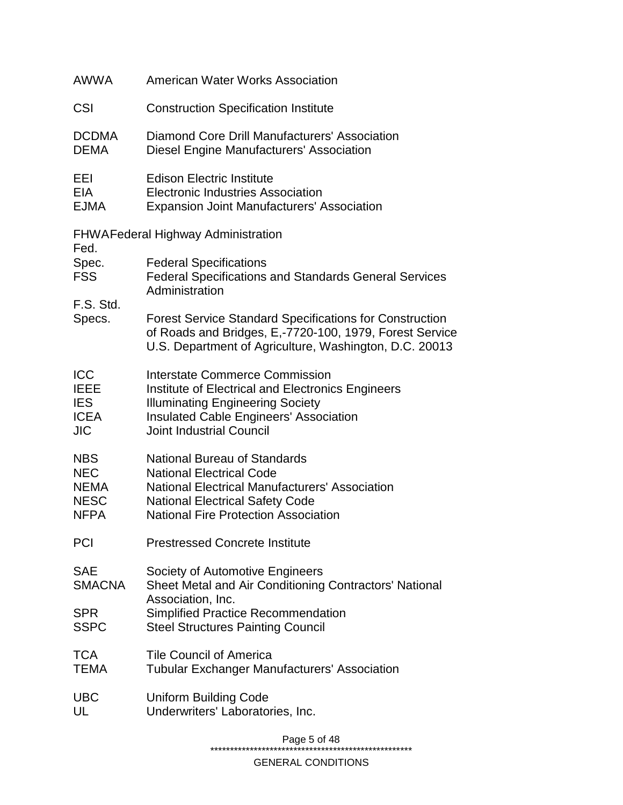| <b>AWWA</b>                                                           | American Water Works Association                                                                                                                                                                                          |  |  |
|-----------------------------------------------------------------------|---------------------------------------------------------------------------------------------------------------------------------------------------------------------------------------------------------------------------|--|--|
| CSI                                                                   | <b>Construction Specification Institute</b>                                                                                                                                                                               |  |  |
| <b>DCDMA</b><br><b>DEMA</b>                                           | <b>Diamond Core Drill Manufacturers' Association</b><br><b>Diesel Engine Manufacturers' Association</b>                                                                                                                   |  |  |
| EEI<br><b>EIA</b><br><b>EJMA</b>                                      | <b>Edison Electric Institute</b><br><b>Electronic Industries Association</b><br><b>Expansion Joint Manufacturers' Association</b>                                                                                         |  |  |
| Fed.                                                                  | <b>FHWAFederal Highway Administration</b>                                                                                                                                                                                 |  |  |
| Spec.<br><b>FSS</b>                                                   | <b>Federal Specifications</b><br><b>Federal Specifications and Standards General Services</b><br>Administration                                                                                                           |  |  |
| F.S. Std.<br>Specs.                                                   | <b>Forest Service Standard Specifications for Construction</b><br>of Roads and Bridges, E,-7720-100, 1979, Forest Service<br>U.S. Department of Agriculture, Washington, D.C. 20013                                       |  |  |
| <b>ICC</b><br><b>IEEE</b><br><b>IES</b><br><b>ICEA</b><br><b>JIC</b>  | <b>Interstate Commerce Commission</b><br>Institute of Electrical and Electronics Engineers<br><b>Illuminating Engineering Society</b><br><b>Insulated Cable Engineers' Association</b><br><b>Joint Industrial Council</b> |  |  |
| <b>NBS</b><br><b>NEC</b><br><b>NEMA</b><br><b>NESC</b><br><b>NFPA</b> | <b>National Bureau of Standards</b><br><b>National Electrical Code</b><br><b>National Electrical Manufacturers' Association</b><br><b>National Electrical Safety Code</b><br><b>National Fire Protection Association</b>  |  |  |
| <b>PCI</b>                                                            | <b>Prestressed Concrete Institute</b>                                                                                                                                                                                     |  |  |
| <b>SAE</b><br><b>SMACNA</b>                                           | Society of Automotive Engineers<br>Sheet Metal and Air Conditioning Contractors' National<br>Association, Inc.                                                                                                            |  |  |
| <b>SPR</b><br><b>SSPC</b>                                             | <b>Simplified Practice Recommendation</b><br><b>Steel Structures Painting Council</b>                                                                                                                                     |  |  |
| <b>TCA</b><br>TEMA                                                    | <b>Tile Council of America</b><br><b>Tubular Exchanger Manufacturers' Association</b>                                                                                                                                     |  |  |
| <b>UBC</b><br>UL                                                      | <b>Uniform Building Code</b><br>Underwriters' Laboratories, Inc.                                                                                                                                                          |  |  |
|                                                                       |                                                                                                                                                                                                                           |  |  |

Page 5 of 48

\*\*\*\*\*\*\*\*\*\*\*\*\*\*\*\*\*\*\*\*\*\*\*\*\*\*\*\*\*\*\*\*\*\*\*\*\*\*\*\*\*\*\*\*\*\*\*\*\*\*\*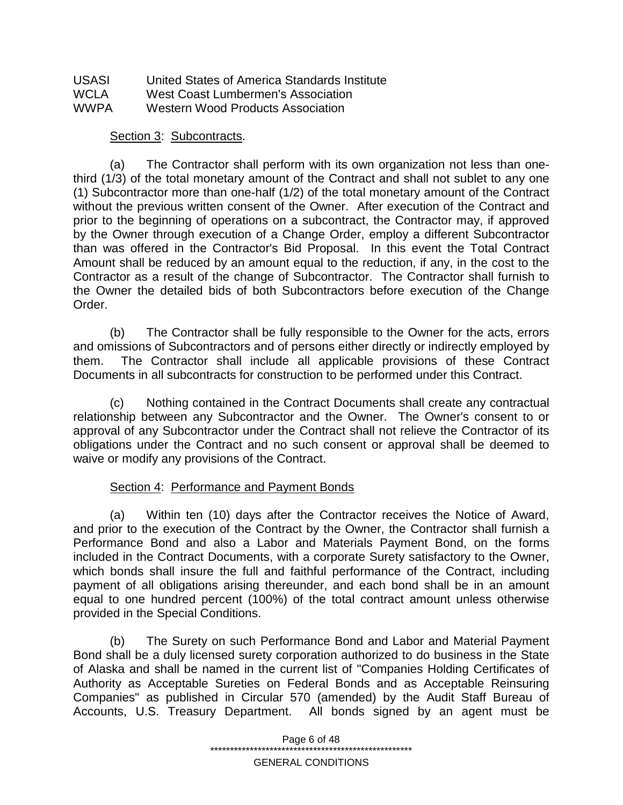| <b>USASI</b> | United States of America Standards Institute |
|--------------|----------------------------------------------|
| <b>WCLA</b>  | West Coast Lumbermen's Association           |
| <b>WWPA</b>  | <b>Western Wood Products Association</b>     |

#### Section 3: Subcontracts.

(a) The Contractor shall perform with its own organization not less than onethird (1/3) of the total monetary amount of the Contract and shall not sublet to any one (1) Subcontractor more than one-half (1/2) of the total monetary amount of the Contract without the previous written consent of the Owner. After execution of the Contract and prior to the beginning of operations on a subcontract, the Contractor may, if approved by the Owner through execution of a Change Order, employ a different Subcontractor than was offered in the Contractor's Bid Proposal. In this event the Total Contract Amount shall be reduced by an amount equal to the reduction, if any, in the cost to the Contractor as a result of the change of Subcontractor. The Contractor shall furnish to the Owner the detailed bids of both Subcontractors before execution of the Change Order.

(b) The Contractor shall be fully responsible to the Owner for the acts, errors and omissions of Subcontractors and of persons either directly or indirectly employed by them. The Contractor shall include all applicable provisions of these Contract Documents in all subcontracts for construction to be performed under this Contract.

(c) Nothing contained in the Contract Documents shall create any contractual relationship between any Subcontractor and the Owner. The Owner's consent to or approval of any Subcontractor under the Contract shall not relieve the Contractor of its obligations under the Contract and no such consent or approval shall be deemed to waive or modify any provisions of the Contract.

### Section 4: Performance and Payment Bonds

(a) Within ten (10) days after the Contractor receives the Notice of Award, and prior to the execution of the Contract by the Owner, the Contractor shall furnish a Performance Bond and also a Labor and Materials Payment Bond, on the forms included in the Contract Documents, with a corporate Surety satisfactory to the Owner, which bonds shall insure the full and faithful performance of the Contract, including payment of all obligations arising thereunder, and each bond shall be in an amount equal to one hundred percent (100%) of the total contract amount unless otherwise provided in the Special Conditions.

(b) The Surety on such Performance Bond and Labor and Material Payment Bond shall be a duly licensed surety corporation authorized to do business in the State of Alaska and shall be named in the current list of "Companies Holding Certificates of Authority as Acceptable Sureties on Federal Bonds and as Acceptable Reinsuring Companies" as published in Circular 570 (amended) by the Audit Staff Bureau of Accounts, U.S. Treasury Department. All bonds signed by an agent must be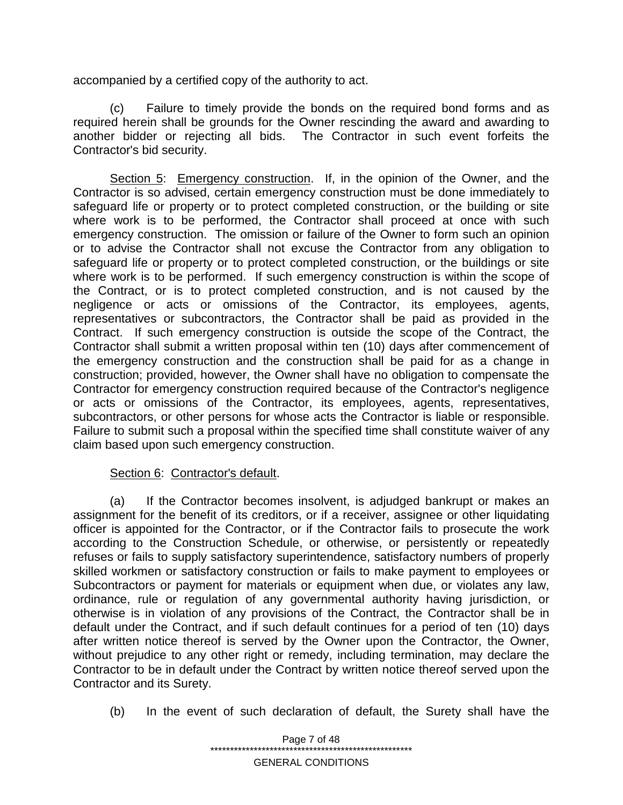accompanied by a certified copy of the authority to act.

(c) Failure to timely provide the bonds on the required bond forms and as required herein shall be grounds for the Owner rescinding the award and awarding to another bidder or rejecting all bids. The Contractor in such event forfeits the Contractor's bid security.

Section 5: Emergency construction. If, in the opinion of the Owner, and the Contractor is so advised, certain emergency construction must be done immediately to safeguard life or property or to protect completed construction, or the building or site where work is to be performed, the Contractor shall proceed at once with such emergency construction. The omission or failure of the Owner to form such an opinion or to advise the Contractor shall not excuse the Contractor from any obligation to safeguard life or property or to protect completed construction, or the buildings or site where work is to be performed. If such emergency construction is within the scope of the Contract, or is to protect completed construction, and is not caused by the negligence or acts or omissions of the Contractor, its employees, agents, representatives or subcontractors, the Contractor shall be paid as provided in the Contract. If such emergency construction is outside the scope of the Contract, the Contractor shall submit a written proposal within ten (10) days after commencement of the emergency construction and the construction shall be paid for as a change in construction; provided, however, the Owner shall have no obligation to compensate the Contractor for emergency construction required because of the Contractor's negligence or acts or omissions of the Contractor, its employees, agents, representatives, subcontractors, or other persons for whose acts the Contractor is liable or responsible. Failure to submit such a proposal within the specified time shall constitute waiver of any claim based upon such emergency construction.

### Section 6: Contractor's default.

(a) If the Contractor becomes insolvent, is adjudged bankrupt or makes an assignment for the benefit of its creditors, or if a receiver, assignee or other liquidating officer is appointed for the Contractor, or if the Contractor fails to prosecute the work according to the Construction Schedule, or otherwise, or persistently or repeatedly refuses or fails to supply satisfactory superintendence, satisfactory numbers of properly skilled workmen or satisfactory construction or fails to make payment to employees or Subcontractors or payment for materials or equipment when due, or violates any law, ordinance, rule or regulation of any governmental authority having jurisdiction, or otherwise is in violation of any provisions of the Contract, the Contractor shall be in default under the Contract, and if such default continues for a period of ten (10) days after written notice thereof is served by the Owner upon the Contractor, the Owner, without prejudice to any other right or remedy, including termination, may declare the Contractor to be in default under the Contract by written notice thereof served upon the Contractor and its Surety.

(b) In the event of such declaration of default, the Surety shall have the

Page 7 of 48 \*\*\*\*\*\*\*\*\*\*\*\*\*\*\*\*\*\*\*\*\*\*\*\*\*\*\*\*\*\*\*\*\*\*\*\*\*\*\*\*\*\*\*\*\*\*\*\*\*\*\* GENERAL CONDITIONS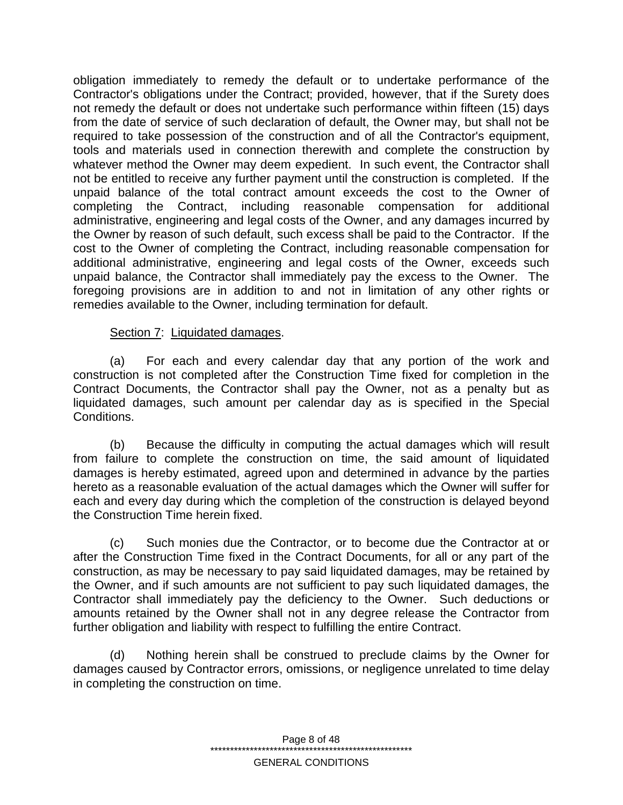obligation immediately to remedy the default or to undertake performance of the Contractor's obligations under the Contract; provided, however, that if the Surety does not remedy the default or does not undertake such performance within fifteen (15) days from the date of service of such declaration of default, the Owner may, but shall not be required to take possession of the construction and of all the Contractor's equipment, tools and materials used in connection therewith and complete the construction by whatever method the Owner may deem expedient. In such event, the Contractor shall not be entitled to receive any further payment until the construction is completed. If the unpaid balance of the total contract amount exceeds the cost to the Owner of completing the Contract, including reasonable compensation for additional administrative, engineering and legal costs of the Owner, and any damages incurred by the Owner by reason of such default, such excess shall be paid to the Contractor. If the cost to the Owner of completing the Contract, including reasonable compensation for additional administrative, engineering and legal costs of the Owner, exceeds such unpaid balance, the Contractor shall immediately pay the excess to the Owner. The foregoing provisions are in addition to and not in limitation of any other rights or remedies available to the Owner, including termination for default.

### Section 7: Liquidated damages.

(a) For each and every calendar day that any portion of the work and construction is not completed after the Construction Time fixed for completion in the Contract Documents, the Contractor shall pay the Owner, not as a penalty but as liquidated damages, such amount per calendar day as is specified in the Special Conditions.

(b) Because the difficulty in computing the actual damages which will result from failure to complete the construction on time, the said amount of liquidated damages is hereby estimated, agreed upon and determined in advance by the parties hereto as a reasonable evaluation of the actual damages which the Owner will suffer for each and every day during which the completion of the construction is delayed beyond the Construction Time herein fixed.

(c) Such monies due the Contractor, or to become due the Contractor at or after the Construction Time fixed in the Contract Documents, for all or any part of the construction, as may be necessary to pay said liquidated damages, may be retained by the Owner, and if such amounts are not sufficient to pay such liquidated damages, the Contractor shall immediately pay the deficiency to the Owner. Such deductions or amounts retained by the Owner shall not in any degree release the Contractor from further obligation and liability with respect to fulfilling the entire Contract.

(d) Nothing herein shall be construed to preclude claims by the Owner for damages caused by Contractor errors, omissions, or negligence unrelated to time delay in completing the construction on time.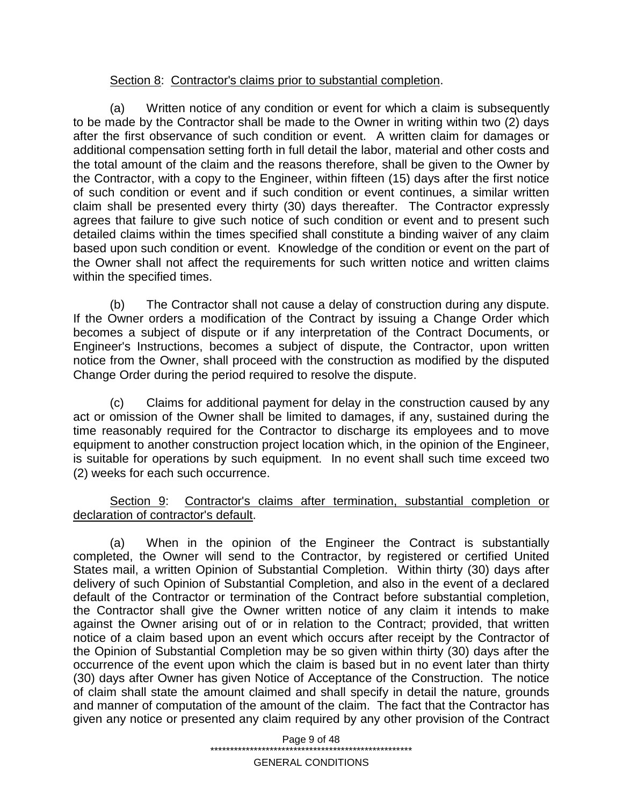### Section 8: Contractor's claims prior to substantial completion.

(a) Written notice of any condition or event for which a claim is subsequently to be made by the Contractor shall be made to the Owner in writing within two (2) days after the first observance of such condition or event. A written claim for damages or additional compensation setting forth in full detail the labor, material and other costs and the total amount of the claim and the reasons therefore, shall be given to the Owner by the Contractor, with a copy to the Engineer, within fifteen (15) days after the first notice of such condition or event and if such condition or event continues, a similar written claim shall be presented every thirty (30) days thereafter. The Contractor expressly agrees that failure to give such notice of such condition or event and to present such detailed claims within the times specified shall constitute a binding waiver of any claim based upon such condition or event. Knowledge of the condition or event on the part of the Owner shall not affect the requirements for such written notice and written claims within the specified times.

(b) The Contractor shall not cause a delay of construction during any dispute. If the Owner orders a modification of the Contract by issuing a Change Order which becomes a subject of dispute or if any interpretation of the Contract Documents, or Engineer's Instructions, becomes a subject of dispute, the Contractor, upon written notice from the Owner, shall proceed with the construction as modified by the disputed Change Order during the period required to resolve the dispute.

(c) Claims for additional payment for delay in the construction caused by any act or omission of the Owner shall be limited to damages, if any, sustained during the time reasonably required for the Contractor to discharge its employees and to move equipment to another construction project location which, in the opinion of the Engineer, is suitable for operations by such equipment. In no event shall such time exceed two (2) weeks for each such occurrence.

Section 9: Contractor's claims after termination, substantial completion or declaration of contractor's default.

(a) When in the opinion of the Engineer the Contract is substantially completed, the Owner will send to the Contractor, by registered or certified United States mail, a written Opinion of Substantial Completion. Within thirty (30) days after delivery of such Opinion of Substantial Completion, and also in the event of a declared default of the Contractor or termination of the Contract before substantial completion, the Contractor shall give the Owner written notice of any claim it intends to make against the Owner arising out of or in relation to the Contract; provided, that written notice of a claim based upon an event which occurs after receipt by the Contractor of the Opinion of Substantial Completion may be so given within thirty (30) days after the occurrence of the event upon which the claim is based but in no event later than thirty (30) days after Owner has given Notice of Acceptance of the Construction. The notice of claim shall state the amount claimed and shall specify in detail the nature, grounds and manner of computation of the amount of the claim. The fact that the Contractor has given any notice or presented any claim required by any other provision of the Contract

Page 9 of 48

\*\*\*\*\*\*\*\*\*\*\*\*\*\*\*\*\*\*\*\*\*\*\*\*\*\*\*\*\*\*\*\*\*\*\*\*\*\*\*\*\*\*\*\*\*\*\*\*\*\*\*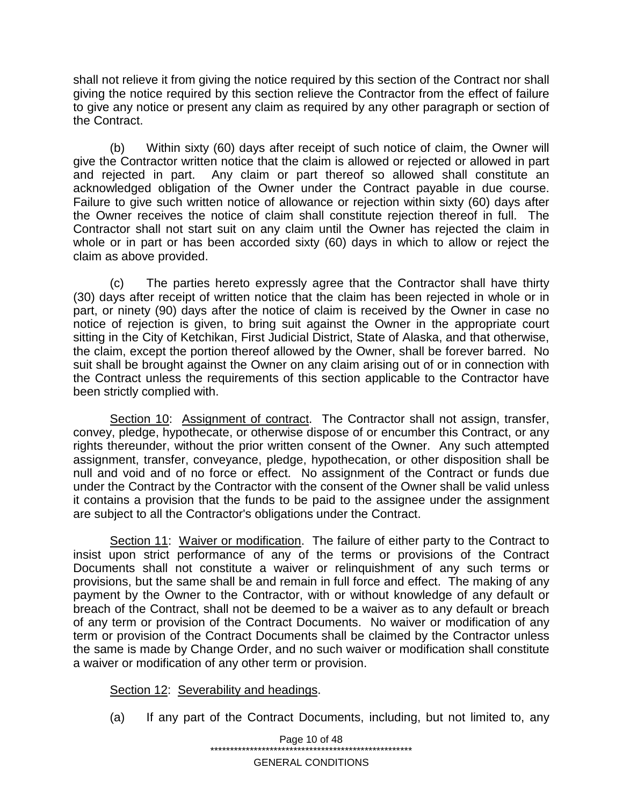shall not relieve it from giving the notice required by this section of the Contract nor shall giving the notice required by this section relieve the Contractor from the effect of failure to give any notice or present any claim as required by any other paragraph or section of the Contract.

(b) Within sixty (60) days after receipt of such notice of claim, the Owner will give the Contractor written notice that the claim is allowed or rejected or allowed in part<br>and rejected in part. Any claim or part thereof so allowed shall constitute an Any claim or part thereof so allowed shall constitute an acknowledged obligation of the Owner under the Contract payable in due course. Failure to give such written notice of allowance or rejection within sixty (60) days after the Owner receives the notice of claim shall constitute rejection thereof in full. The Contractor shall not start suit on any claim until the Owner has rejected the claim in whole or in part or has been accorded sixty (60) days in which to allow or reject the claim as above provided.

(c) The parties hereto expressly agree that the Contractor shall have thirty (30) days after receipt of written notice that the claim has been rejected in whole or in part, or ninety (90) days after the notice of claim is received by the Owner in case no notice of rejection is given, to bring suit against the Owner in the appropriate court sitting in the City of Ketchikan, First Judicial District, State of Alaska, and that otherwise, the claim, except the portion thereof allowed by the Owner, shall be forever barred. No suit shall be brought against the Owner on any claim arising out of or in connection with the Contract unless the requirements of this section applicable to the Contractor have been strictly complied with.

Section 10: Assignment of contract. The Contractor shall not assign, transfer, convey, pledge, hypothecate, or otherwise dispose of or encumber this Contract, or any rights thereunder, without the prior written consent of the Owner. Any such attempted assignment, transfer, conveyance, pledge, hypothecation, or other disposition shall be null and void and of no force or effect. No assignment of the Contract or funds due under the Contract by the Contractor with the consent of the Owner shall be valid unless it contains a provision that the funds to be paid to the assignee under the assignment are subject to all the Contractor's obligations under the Contract.

Section 11: Waiver or modification. The failure of either party to the Contract to insist upon strict performance of any of the terms or provisions of the Contract Documents shall not constitute a waiver or relinquishment of any such terms or provisions, but the same shall be and remain in full force and effect. The making of any payment by the Owner to the Contractor, with or without knowledge of any default or breach of the Contract, shall not be deemed to be a waiver as to any default or breach of any term or provision of the Contract Documents. No waiver or modification of any term or provision of the Contract Documents shall be claimed by the Contractor unless the same is made by Change Order, and no such waiver or modification shall constitute a waiver or modification of any other term or provision.

Section 12: Severability and headings.

(a) If any part of the Contract Documents, including, but not limited to, any

Page 10 of 48 \*\*\*\*\*\*\*\*\*\*\*\*\*\*\*\*\*\*\*\*\*\*\*\*\*\*\*\*\*\*\*\*\*\*\*\*\*\*\*\*\*\*\*\*\*\*\*\*\*\*\*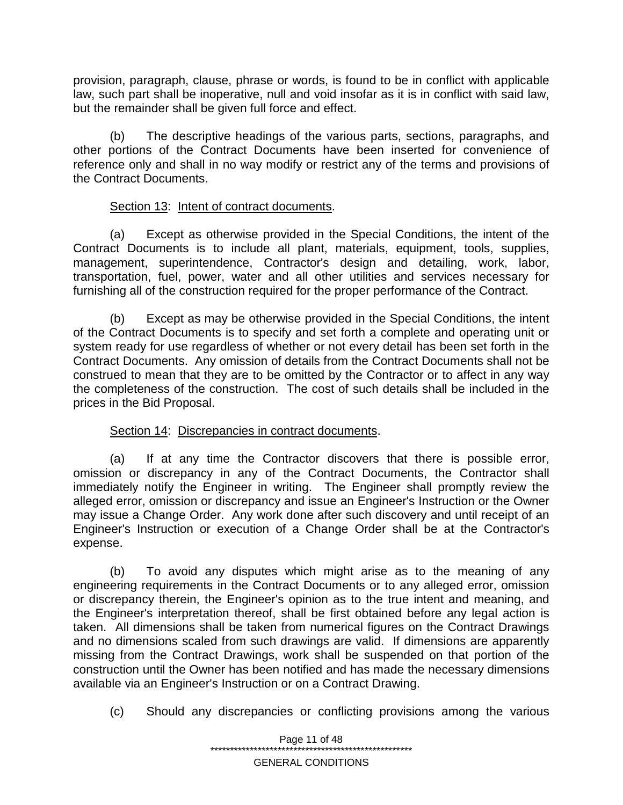provision, paragraph, clause, phrase or words, is found to be in conflict with applicable law, such part shall be inoperative, null and void insofar as it is in conflict with said law, but the remainder shall be given full force and effect.

(b) The descriptive headings of the various parts, sections, paragraphs, and other portions of the Contract Documents have been inserted for convenience of reference only and shall in no way modify or restrict any of the terms and provisions of the Contract Documents.

# Section 13: Intent of contract documents.

(a) Except as otherwise provided in the Special Conditions, the intent of the Contract Documents is to include all plant, materials, equipment, tools, supplies, management, superintendence, Contractor's design and detailing, work, labor, transportation, fuel, power, water and all other utilities and services necessary for furnishing all of the construction required for the proper performance of the Contract.

(b) Except as may be otherwise provided in the Special Conditions, the intent of the Contract Documents is to specify and set forth a complete and operating unit or system ready for use regardless of whether or not every detail has been set forth in the Contract Documents. Any omission of details from the Contract Documents shall not be construed to mean that they are to be omitted by the Contractor or to affect in any way the completeness of the construction. The cost of such details shall be included in the prices in the Bid Proposal.

### Section 14: Discrepancies in contract documents.

(a) If at any time the Contractor discovers that there is possible error, omission or discrepancy in any of the Contract Documents, the Contractor shall immediately notify the Engineer in writing. The Engineer shall promptly review the alleged error, omission or discrepancy and issue an Engineer's Instruction or the Owner may issue a Change Order. Any work done after such discovery and until receipt of an Engineer's Instruction or execution of a Change Order shall be at the Contractor's expense.

(b) To avoid any disputes which might arise as to the meaning of any engineering requirements in the Contract Documents or to any alleged error, omission or discrepancy therein, the Engineer's opinion as to the true intent and meaning, and the Engineer's interpretation thereof, shall be first obtained before any legal action is taken. All dimensions shall be taken from numerical figures on the Contract Drawings and no dimensions scaled from such drawings are valid. If dimensions are apparently missing from the Contract Drawings, work shall be suspended on that portion of the construction until the Owner has been notified and has made the necessary dimensions available via an Engineer's Instruction or on a Contract Drawing.

(c) Should any discrepancies or conflicting provisions among the various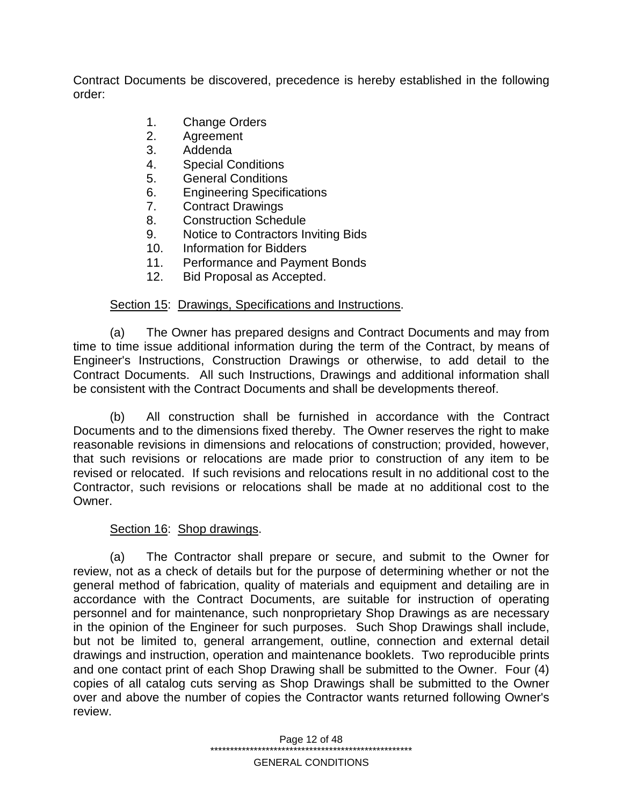Contract Documents be discovered, precedence is hereby established in the following order:

- 1. Change Orders
- 2. Agreement
- 3. Addenda
- 4. Special Conditions
- 5. General Conditions
- 6. Engineering Specifications
- 7. Contract Drawings
- 8. Construction Schedule
- 9. Notice to Contractors Inviting Bids
- 10. Information for Bidders
- 11. Performance and Payment Bonds
- 12. Bid Proposal as Accepted.

### Section 15: Drawings, Specifications and Instructions.

(a) The Owner has prepared designs and Contract Documents and may from time to time issue additional information during the term of the Contract, by means of Engineer's Instructions, Construction Drawings or otherwise, to add detail to the Contract Documents. All such Instructions, Drawings and additional information shall be consistent with the Contract Documents and shall be developments thereof.

(b) All construction shall be furnished in accordance with the Contract Documents and to the dimensions fixed thereby. The Owner reserves the right to make reasonable revisions in dimensions and relocations of construction; provided, however, that such revisions or relocations are made prior to construction of any item to be revised or relocated. If such revisions and relocations result in no additional cost to the Contractor, such revisions or relocations shall be made at no additional cost to the Owner.

### Section 16: Shop drawings.

(a) The Contractor shall prepare or secure, and submit to the Owner for review, not as a check of details but for the purpose of determining whether or not the general method of fabrication, quality of materials and equipment and detailing are in accordance with the Contract Documents, are suitable for instruction of operating personnel and for maintenance, such nonproprietary Shop Drawings as are necessary in the opinion of the Engineer for such purposes. Such Shop Drawings shall include, but not be limited to, general arrangement, outline, connection and external detail drawings and instruction, operation and maintenance booklets. Two reproducible prints and one contact print of each Shop Drawing shall be submitted to the Owner. Four (4) copies of all catalog cuts serving as Shop Drawings shall be submitted to the Owner over and above the number of copies the Contractor wants returned following Owner's review.

> Page 12 of 48 \*\*\*\*\*\*\*\*\*\*\*\*\*\*\*\*\*\*\*\*\*\*\*\*\*\*\*\*\*\*\*\*\*\*\*\*\*\*\*\*\*\*\*\*\*\*\*\*\*\*\* GENERAL CONDITIONS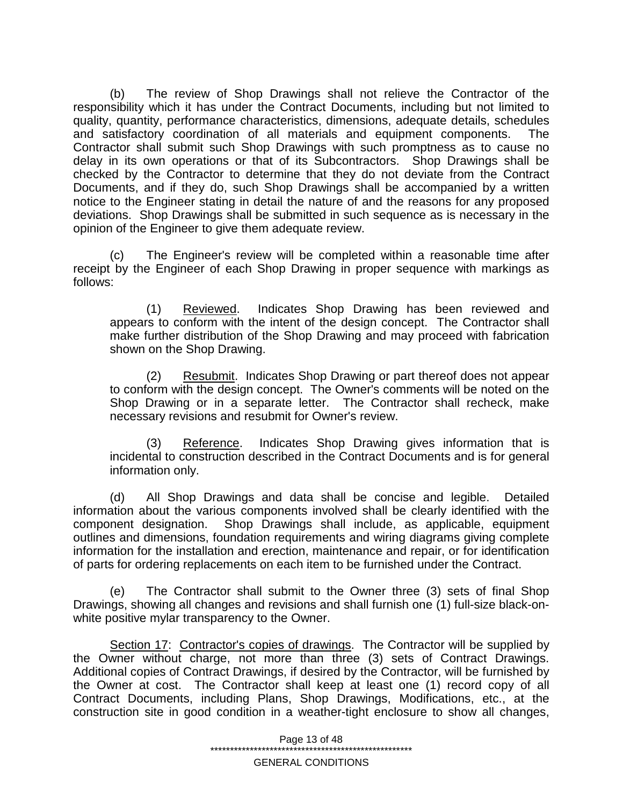(b) The review of Shop Drawings shall not relieve the Contractor of the responsibility which it has under the Contract Documents, including but not limited to quality, quantity, performance characteristics, dimensions, adequate details, schedules and satisfactory coordination of all materials and equipment components. The Contractor shall submit such Shop Drawings with such promptness as to cause no delay in its own operations or that of its Subcontractors. Shop Drawings shall be checked by the Contractor to determine that they do not deviate from the Contract Documents, and if they do, such Shop Drawings shall be accompanied by a written notice to the Engineer stating in detail the nature of and the reasons for any proposed deviations. Shop Drawings shall be submitted in such sequence as is necessary in the opinion of the Engineer to give them adequate review.

(c) The Engineer's review will be completed within a reasonable time after receipt by the Engineer of each Shop Drawing in proper sequence with markings as follows:

(1) Reviewed. Indicates Shop Drawing has been reviewed and appears to conform with the intent of the design concept. The Contractor shall make further distribution of the Shop Drawing and may proceed with fabrication shown on the Shop Drawing.

(2) Resubmit. Indicates Shop Drawing or part thereof does not appear to conform with the design concept. The Owner's comments will be noted on the Shop Drawing or in a separate letter. The Contractor shall recheck, make necessary revisions and resubmit for Owner's review.

(3) Reference. Indicates Shop Drawing gives information that is incidental to construction described in the Contract Documents and is for general information only.

(d) All Shop Drawings and data shall be concise and legible. Detailed information about the various components involved shall be clearly identified with the component designation. Shop Drawings shall include, as applicable, equipment outlines and dimensions, foundation requirements and wiring diagrams giving complete information for the installation and erection, maintenance and repair, or for identification of parts for ordering replacements on each item to be furnished under the Contract.

(e) The Contractor shall submit to the Owner three (3) sets of final Shop Drawings, showing all changes and revisions and shall furnish one (1) full-size black-onwhite positive mylar transparency to the Owner.

Section 17: Contractor's copies of drawings. The Contractor will be supplied by the Owner without charge, not more than three (3) sets of Contract Drawings. Additional copies of Contract Drawings, if desired by the Contractor, will be furnished by the Owner at cost. The Contractor shall keep at least one (1) record copy of all Contract Documents, including Plans, Shop Drawings, Modifications, etc., at the construction site in good condition in a weather-tight enclosure to show all changes,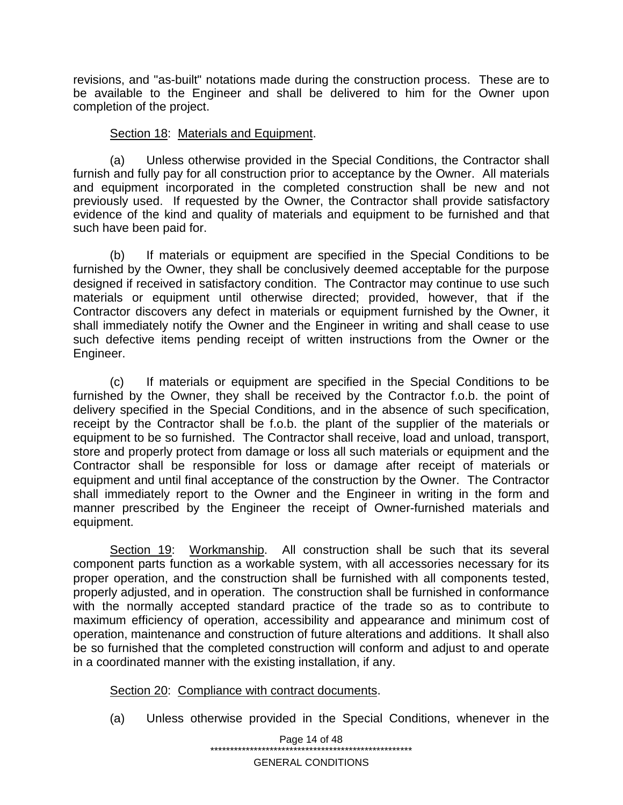revisions, and "as-built" notations made during the construction process. These are to be available to the Engineer and shall be delivered to him for the Owner upon completion of the project.

### Section 18: Materials and Equipment.

(a) Unless otherwise provided in the Special Conditions, the Contractor shall furnish and fully pay for all construction prior to acceptance by the Owner. All materials and equipment incorporated in the completed construction shall be new and not previously used. If requested by the Owner, the Contractor shall provide satisfactory evidence of the kind and quality of materials and equipment to be furnished and that such have been paid for.

(b) If materials or equipment are specified in the Special Conditions to be furnished by the Owner, they shall be conclusively deemed acceptable for the purpose designed if received in satisfactory condition. The Contractor may continue to use such materials or equipment until otherwise directed; provided, however, that if the Contractor discovers any defect in materials or equipment furnished by the Owner, it shall immediately notify the Owner and the Engineer in writing and shall cease to use such defective items pending receipt of written instructions from the Owner or the Engineer.

(c) If materials or equipment are specified in the Special Conditions to be furnished by the Owner, they shall be received by the Contractor f.o.b. the point of delivery specified in the Special Conditions, and in the absence of such specification, receipt by the Contractor shall be f.o.b. the plant of the supplier of the materials or equipment to be so furnished. The Contractor shall receive, load and unload, transport, store and properly protect from damage or loss all such materials or equipment and the Contractor shall be responsible for loss or damage after receipt of materials or equipment and until final acceptance of the construction by the Owner. The Contractor shall immediately report to the Owner and the Engineer in writing in the form and manner prescribed by the Engineer the receipt of Owner-furnished materials and equipment.

Section 19: Workmanship. All construction shall be such that its several component parts function as a workable system, with all accessories necessary for its proper operation, and the construction shall be furnished with all components tested, properly adjusted, and in operation. The construction shall be furnished in conformance with the normally accepted standard practice of the trade so as to contribute to maximum efficiency of operation, accessibility and appearance and minimum cost of operation, maintenance and construction of future alterations and additions. It shall also be so furnished that the completed construction will conform and adjust to and operate in a coordinated manner with the existing installation, if any.

# Section 20: Compliance with contract documents.

(a) Unless otherwise provided in the Special Conditions, whenever in the

Page 14 of 48 \*\*\*\*\*\*\*\*\*\*\*\*\*\*\*\*\*\*\*\*\*\*\*\*\*\*\*\*\*\*\*\*\*\*\*\*\*\*\*\*\*\*\*\*\*\*\*\*\*\*\*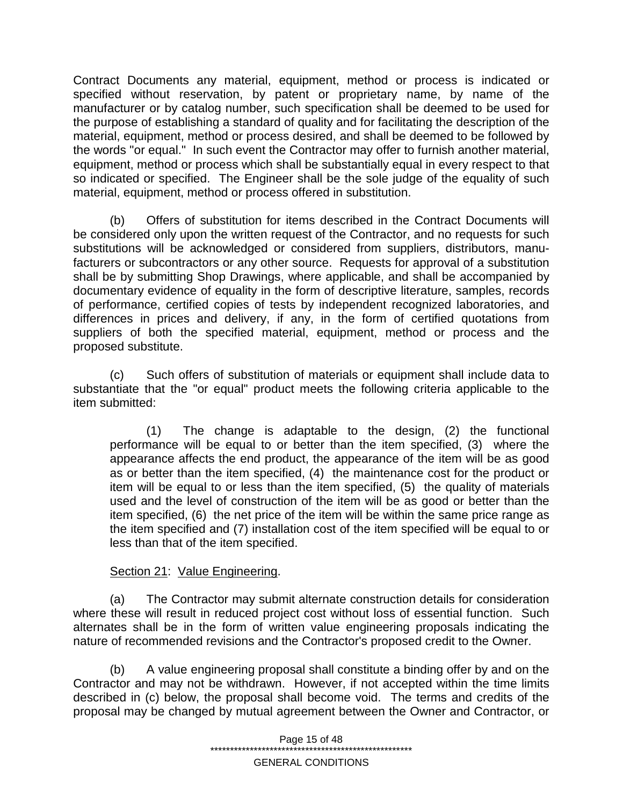Contract Documents any material, equipment, method or process is indicated or specified without reservation, by patent or proprietary name, by name of the manufacturer or by catalog number, such specification shall be deemed to be used for the purpose of establishing a standard of quality and for facilitating the description of the material, equipment, method or process desired, and shall be deemed to be followed by the words "or equal." In such event the Contractor may offer to furnish another material, equipment, method or process which shall be substantially equal in every respect to that so indicated or specified. The Engineer shall be the sole judge of the equality of such material, equipment, method or process offered in substitution.

(b) Offers of substitution for items described in the Contract Documents will be considered only upon the written request of the Contractor, and no requests for such substitutions will be acknowledged or considered from suppliers, distributors, manufacturers or subcontractors or any other source. Requests for approval of a substitution shall be by submitting Shop Drawings, where applicable, and shall be accompanied by documentary evidence of equality in the form of descriptive literature, samples, records of performance, certified copies of tests by independent recognized laboratories, and differences in prices and delivery, if any, in the form of certified quotations from suppliers of both the specified material, equipment, method or process and the proposed substitute.

(c) Such offers of substitution of materials or equipment shall include data to substantiate that the "or equal" product meets the following criteria applicable to the item submitted:

(1) The change is adaptable to the design, (2) the functional performance will be equal to or better than the item specified, (3) where the appearance affects the end product, the appearance of the item will be as good as or better than the item specified, (4) the maintenance cost for the product or item will be equal to or less than the item specified, (5) the quality of materials used and the level of construction of the item will be as good or better than the item specified, (6) the net price of the item will be within the same price range as the item specified and (7) installation cost of the item specified will be equal to or less than that of the item specified.

### Section 21: Value Engineering.

(a) The Contractor may submit alternate construction details for consideration where these will result in reduced project cost without loss of essential function. Such alternates shall be in the form of written value engineering proposals indicating the nature of recommended revisions and the Contractor's proposed credit to the Owner.

(b) A value engineering proposal shall constitute a binding offer by and on the Contractor and may not be withdrawn. However, if not accepted within the time limits described in (c) below, the proposal shall become void. The terms and credits of the proposal may be changed by mutual agreement between the Owner and Contractor, or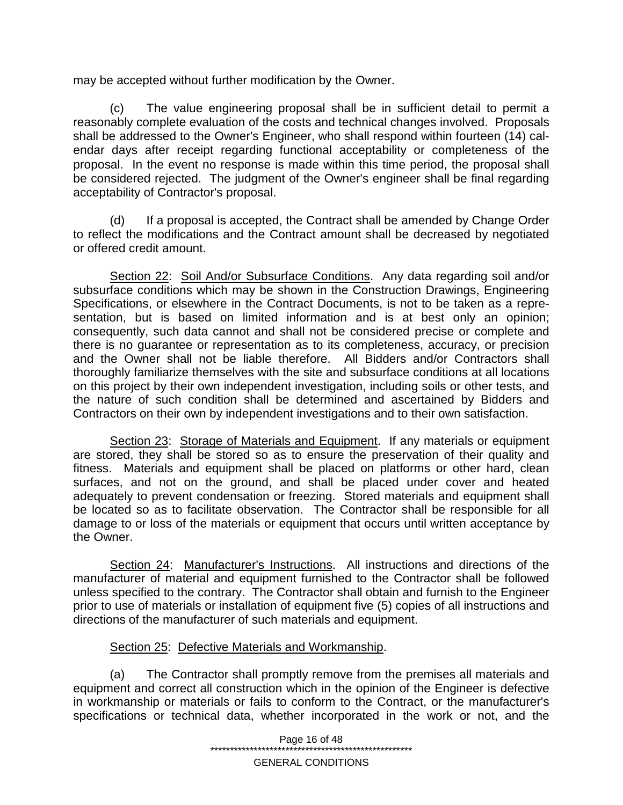may be accepted without further modification by the Owner.

(c) The value engineering proposal shall be in sufficient detail to permit a reasonably complete evaluation of the costs and technical changes involved. Proposals shall be addressed to the Owner's Engineer, who shall respond within fourteen (14) calendar days after receipt regarding functional acceptability or completeness of the proposal. In the event no response is made within this time period, the proposal shall be considered rejected. The judgment of the Owner's engineer shall be final regarding acceptability of Contractor's proposal.

(d) If a proposal is accepted, the Contract shall be amended by Change Order to reflect the modifications and the Contract amount shall be decreased by negotiated or offered credit amount.

Section 22: Soil And/or Subsurface Conditions. Any data regarding soil and/or subsurface conditions which may be shown in the Construction Drawings, Engineering Specifications, or elsewhere in the Contract Documents, is not to be taken as a representation, but is based on limited information and is at best only an opinion; consequently, such data cannot and shall not be considered precise or complete and there is no guarantee or representation as to its completeness, accuracy, or precision and the Owner shall not be liable therefore. All Bidders and/or Contractors shall thoroughly familiarize themselves with the site and subsurface conditions at all locations on this project by their own independent investigation, including soils or other tests, and the nature of such condition shall be determined and ascertained by Bidders and Contractors on their own by independent investigations and to their own satisfaction.

Section 23: Storage of Materials and Equipment. If any materials or equipment are stored, they shall be stored so as to ensure the preservation of their quality and fitness. Materials and equipment shall be placed on platforms or other hard, clean surfaces, and not on the ground, and shall be placed under cover and heated adequately to prevent condensation or freezing. Stored materials and equipment shall be located so as to facilitate observation. The Contractor shall be responsible for all damage to or loss of the materials or equipment that occurs until written acceptance by the Owner.

Section 24: Manufacturer's Instructions. All instructions and directions of the manufacturer of material and equipment furnished to the Contractor shall be followed unless specified to the contrary. The Contractor shall obtain and furnish to the Engineer prior to use of materials or installation of equipment five (5) copies of all instructions and directions of the manufacturer of such materials and equipment.

# Section 25: Defective Materials and Workmanship.

(a) The Contractor shall promptly remove from the premises all materials and equipment and correct all construction which in the opinion of the Engineer is defective in workmanship or materials or fails to conform to the Contract, or the manufacturer's specifications or technical data, whether incorporated in the work or not, and the

> Page 16 of 48 \*\*\*\*\*\*\*\*\*\*\*\*\*\*\*\*\*\*\*\*\*\*\*\*\*\*\*\*\*\*\*\*\*\*\*\*\*\*\*\*\*\*\*\*\*\*\*\*\*\*\*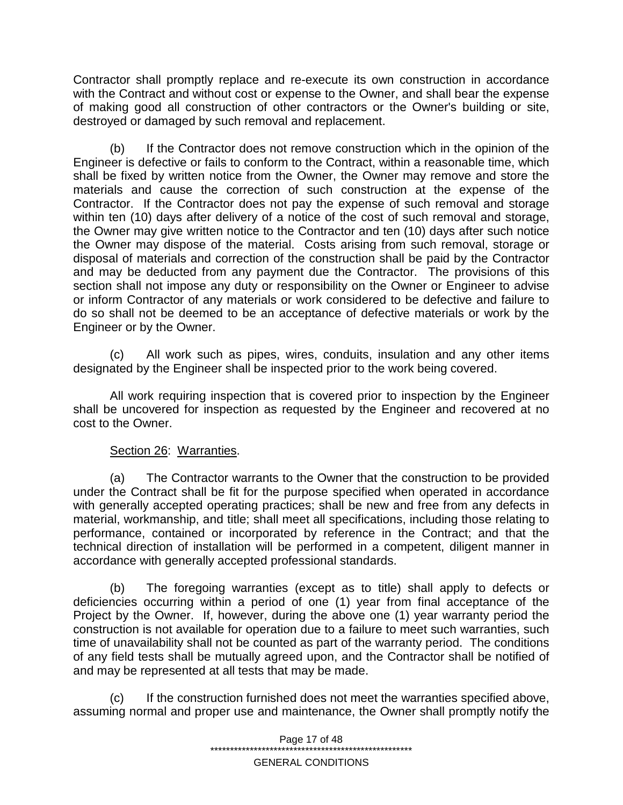Contractor shall promptly replace and re-execute its own construction in accordance with the Contract and without cost or expense to the Owner, and shall bear the expense of making good all construction of other contractors or the Owner's building or site, destroyed or damaged by such removal and replacement.

(b) If the Contractor does not remove construction which in the opinion of the Engineer is defective or fails to conform to the Contract, within a reasonable time, which shall be fixed by written notice from the Owner, the Owner may remove and store the materials and cause the correction of such construction at the expense of the Contractor. If the Contractor does not pay the expense of such removal and storage within ten (10) days after delivery of a notice of the cost of such removal and storage, the Owner may give written notice to the Contractor and ten (10) days after such notice the Owner may dispose of the material. Costs arising from such removal, storage or disposal of materials and correction of the construction shall be paid by the Contractor and may be deducted from any payment due the Contractor. The provisions of this section shall not impose any duty or responsibility on the Owner or Engineer to advise or inform Contractor of any materials or work considered to be defective and failure to do so shall not be deemed to be an acceptance of defective materials or work by the Engineer or by the Owner.

(c) All work such as pipes, wires, conduits, insulation and any other items designated by the Engineer shall be inspected prior to the work being covered.

All work requiring inspection that is covered prior to inspection by the Engineer shall be uncovered for inspection as requested by the Engineer and recovered at no cost to the Owner.

# Section 26: Warranties.

(a) The Contractor warrants to the Owner that the construction to be provided under the Contract shall be fit for the purpose specified when operated in accordance with generally accepted operating practices; shall be new and free from any defects in material, workmanship, and title; shall meet all specifications, including those relating to performance, contained or incorporated by reference in the Contract; and that the technical direction of installation will be performed in a competent, diligent manner in accordance with generally accepted professional standards.

(b) The foregoing warranties (except as to title) shall apply to defects or deficiencies occurring within a period of one (1) year from final acceptance of the Project by the Owner. If, however, during the above one (1) year warranty period the construction is not available for operation due to a failure to meet such warranties, such time of unavailability shall not be counted as part of the warranty period. The conditions of any field tests shall be mutually agreed upon, and the Contractor shall be notified of and may be represented at all tests that may be made.

(c) If the construction furnished does not meet the warranties specified above, assuming normal and proper use and maintenance, the Owner shall promptly notify the

> Page 17 of 48 \*\*\*\*\*\*\*\*\*\*\*\*\*\*\*\*\*\*\*\*\*\*\*\*\*\*\*\*\*\*\*\*\*\*\*\*\*\*\*\*\*\*\*\*\*\*\*\*\*\*\*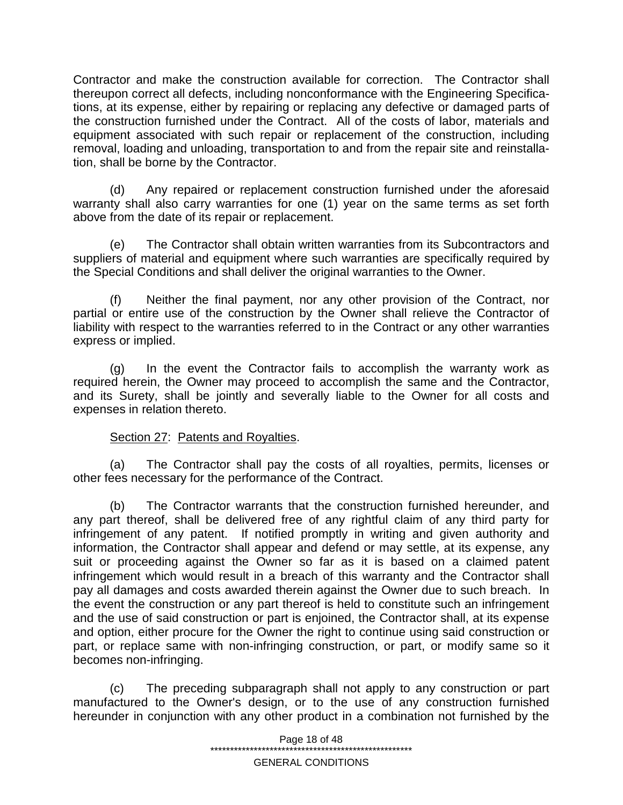Contractor and make the construction available for correction. The Contractor shall thereupon correct all defects, including nonconformance with the Engineering Specifications, at its expense, either by repairing or replacing any defective or damaged parts of the construction furnished under the Contract. All of the costs of labor, materials and equipment associated with such repair or replacement of the construction, including removal, loading and unloading, transportation to and from the repair site and reinstallation, shall be borne by the Contractor.

(d) Any repaired or replacement construction furnished under the aforesaid warranty shall also carry warranties for one (1) year on the same terms as set forth above from the date of its repair or replacement.

(e) The Contractor shall obtain written warranties from its Subcontractors and suppliers of material and equipment where such warranties are specifically required by the Special Conditions and shall deliver the original warranties to the Owner.

(f) Neither the final payment, nor any other provision of the Contract, nor partial or entire use of the construction by the Owner shall relieve the Contractor of liability with respect to the warranties referred to in the Contract or any other warranties express or implied.

(g) In the event the Contractor fails to accomplish the warranty work as required herein, the Owner may proceed to accomplish the same and the Contractor, and its Surety, shall be jointly and severally liable to the Owner for all costs and expenses in relation thereto.

### Section 27: Patents and Royalties.

(a) The Contractor shall pay the costs of all royalties, permits, licenses or other fees necessary for the performance of the Contract.

(b) The Contractor warrants that the construction furnished hereunder, and any part thereof, shall be delivered free of any rightful claim of any third party for infringement of any patent. If notified promptly in writing and given authority and information, the Contractor shall appear and defend or may settle, at its expense, any suit or proceeding against the Owner so far as it is based on a claimed patent infringement which would result in a breach of this warranty and the Contractor shall pay all damages and costs awarded therein against the Owner due to such breach. In the event the construction or any part thereof is held to constitute such an infringement and the use of said construction or part is enjoined, the Contractor shall, at its expense and option, either procure for the Owner the right to continue using said construction or part, or replace same with non-infringing construction, or part, or modify same so it becomes non-infringing.

(c) The preceding subparagraph shall not apply to any construction or part manufactured to the Owner's design, or to the use of any construction furnished hereunder in conjunction with any other product in a combination not furnished by the

> Page 18 of 48 \*\*\*\*\*\*\*\*\*\*\*\*\*\*\*\*\*\*\*\*\*\*\*\*\*\*\*\*\*\*\*\*\*\*\*\*\*\*\*\*\*\*\*\*\*\*\*\*\*\*\*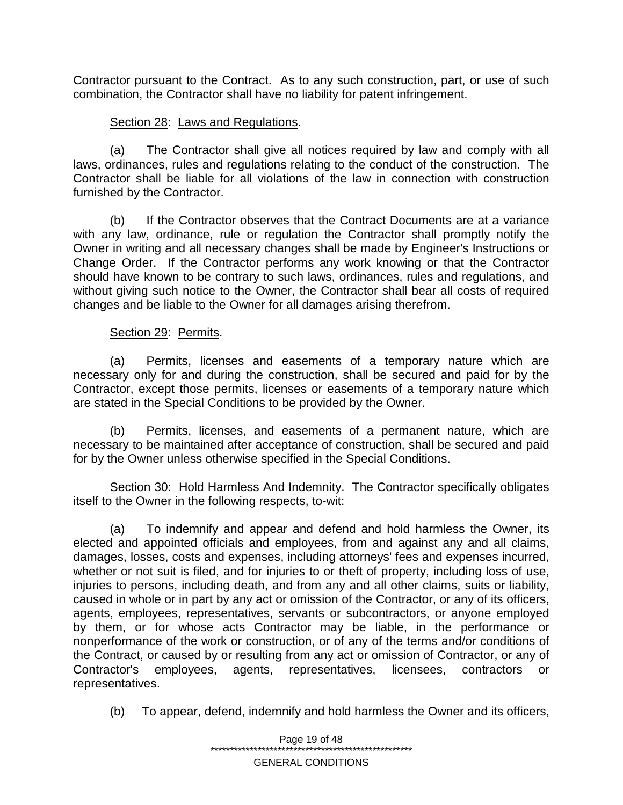Contractor pursuant to the Contract. As to any such construction, part, or use of such combination, the Contractor shall have no liability for patent infringement.

# Section 28: Laws and Regulations.

(a) The Contractor shall give all notices required by law and comply with all laws, ordinances, rules and regulations relating to the conduct of the construction. The Contractor shall be liable for all violations of the law in connection with construction furnished by the Contractor.

(b) If the Contractor observes that the Contract Documents are at a variance with any law, ordinance, rule or regulation the Contractor shall promptly notify the Owner in writing and all necessary changes shall be made by Engineer's Instructions or Change Order. If the Contractor performs any work knowing or that the Contractor should have known to be contrary to such laws, ordinances, rules and regulations, and without giving such notice to the Owner, the Contractor shall bear all costs of required changes and be liable to the Owner for all damages arising therefrom.

### Section 29: Permits.

(a) Permits, licenses and easements of a temporary nature which are necessary only for and during the construction, shall be secured and paid for by the Contractor, except those permits, licenses or easements of a temporary nature which are stated in the Special Conditions to be provided by the Owner.

(b) Permits, licenses, and easements of a permanent nature, which are necessary to be maintained after acceptance of construction, shall be secured and paid for by the Owner unless otherwise specified in the Special Conditions.

Section 30: Hold Harmless And Indemnity. The Contractor specifically obligates itself to the Owner in the following respects, to-wit:

(a) To indemnify and appear and defend and hold harmless the Owner, its elected and appointed officials and employees, from and against any and all claims, damages, losses, costs and expenses, including attorneys' fees and expenses incurred, whether or not suit is filed, and for injuries to or theft of property, including loss of use, injuries to persons, including death, and from any and all other claims, suits or liability, caused in whole or in part by any act or omission of the Contractor, or any of its officers, agents, employees, representatives, servants or subcontractors, or anyone employed by them, or for whose acts Contractor may be liable, in the performance or nonperformance of the work or construction, or of any of the terms and/or conditions of the Contract, or caused by or resulting from any act or omission of Contractor, or any of Contractor's employees, agents, representatives, licensees, contractors or representatives.

(b) To appear, defend, indemnify and hold harmless the Owner and its officers,

Page 19 of 48 \*\*\*\*\*\*\*\*\*\*\*\*\*\*\*\*\*\*\*\*\*\*\*\*\*\*\*\*\*\*\*\*\*\*\*\*\*\*\*\*\*\*\*\*\*\*\*\*\*\*\* GENERAL CONDITIONS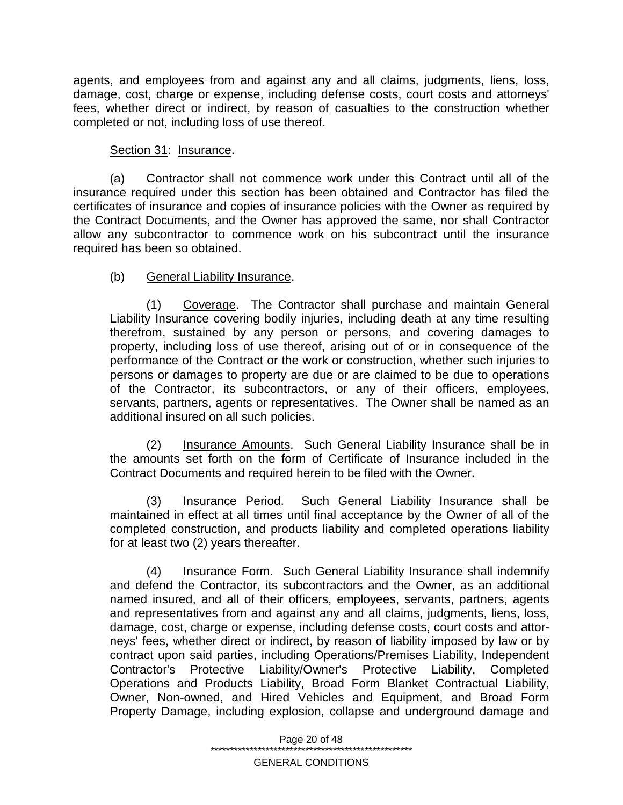agents, and employees from and against any and all claims, judgments, liens, loss, damage, cost, charge or expense, including defense costs, court costs and attorneys' fees, whether direct or indirect, by reason of casualties to the construction whether completed or not, including loss of use thereof.

# Section 31: Insurance.

(a) Contractor shall not commence work under this Contract until all of the insurance required under this section has been obtained and Contractor has filed the certificates of insurance and copies of insurance policies with the Owner as required by the Contract Documents, and the Owner has approved the same, nor shall Contractor allow any subcontractor to commence work on his subcontract until the insurance required has been so obtained.

# (b) General Liability Insurance.

(1) Coverage. The Contractor shall purchase and maintain General Liability Insurance covering bodily injuries, including death at any time resulting therefrom, sustained by any person or persons, and covering damages to property, including loss of use thereof, arising out of or in consequence of the performance of the Contract or the work or construction, whether such injuries to persons or damages to property are due or are claimed to be due to operations of the Contractor, its subcontractors, or any of their officers, employees, servants, partners, agents or representatives. The Owner shall be named as an additional insured on all such policies.

(2) Insurance Amounts. Such General Liability Insurance shall be in the amounts set forth on the form of Certificate of Insurance included in the Contract Documents and required herein to be filed with the Owner.

(3) Insurance Period. Such General Liability Insurance shall be maintained in effect at all times until final acceptance by the Owner of all of the completed construction, and products liability and completed operations liability for at least two (2) years thereafter.

(4) Insurance Form. Such General Liability Insurance shall indemnify and defend the Contractor, its subcontractors and the Owner, as an additional named insured, and all of their officers, employees, servants, partners, agents and representatives from and against any and all claims, judgments, liens, loss, damage, cost, charge or expense, including defense costs, court costs and attorneys' fees, whether direct or indirect, by reason of liability imposed by law or by contract upon said parties, including Operations/Premises Liability, Independent Contractor's Protective Liability/Owner's Protective Liability, Completed Operations and Products Liability, Broad Form Blanket Contractual Liability, Owner, Non-owned, and Hired Vehicles and Equipment, and Broad Form Property Damage, including explosion, collapse and underground damage and

> Page 20 of 48 \*\*\*\*\*\*\*\*\*\*\*\*\*\*\*\*\*\*\*\*\*\*\*\*\*\*\*\*\*\*\*\*\*\*\*\*\*\*\*\*\*\*\*\*\*\*\*\*\*\*\*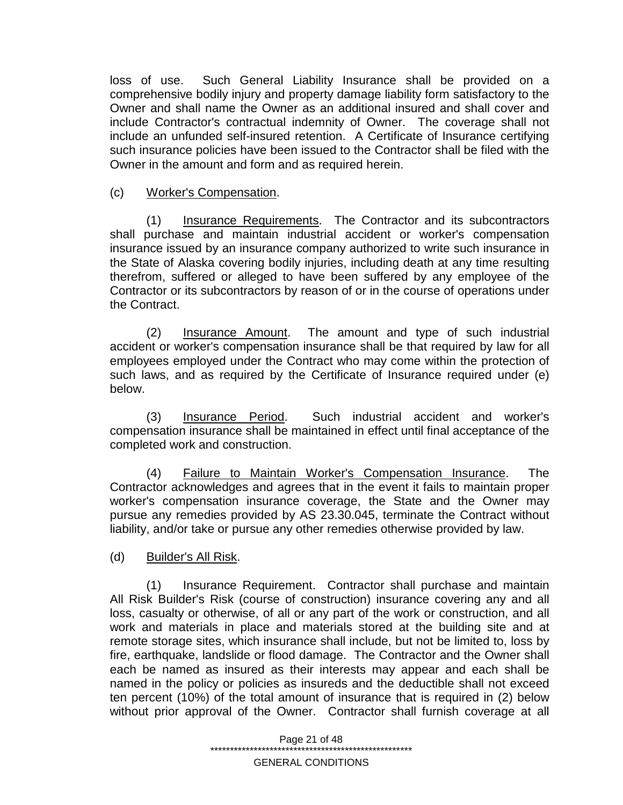loss of use. Such General Liability Insurance shall be provided on a comprehensive bodily injury and property damage liability form satisfactory to the Owner and shall name the Owner as an additional insured and shall cover and include Contractor's contractual indemnity of Owner. The coverage shall not include an unfunded self-insured retention. A Certificate of Insurance certifying such insurance policies have been issued to the Contractor shall be filed with the Owner in the amount and form and as required herein.

### (c) Worker's Compensation.

(1) Insurance Requirements. The Contractor and its subcontractors shall purchase and maintain industrial accident or worker's compensation insurance issued by an insurance company authorized to write such insurance in the State of Alaska covering bodily injuries, including death at any time resulting therefrom, suffered or alleged to have been suffered by any employee of the Contractor or its subcontractors by reason of or in the course of operations under the Contract.

(2) Insurance Amount. The amount and type of such industrial accident or worker's compensation insurance shall be that required by law for all employees employed under the Contract who may come within the protection of such laws, and as required by the Certificate of Insurance required under (e) below.

(3) Insurance Period. Such industrial accident and worker's compensation insurance shall be maintained in effect until final acceptance of the completed work and construction.

(4) Failure to Maintain Worker's Compensation Insurance. The Contractor acknowledges and agrees that in the event it fails to maintain proper worker's compensation insurance coverage, the State and the Owner may pursue any remedies provided by AS 23.30.045, terminate the Contract without liability, and/or take or pursue any other remedies otherwise provided by law.

### (d) Builder's All Risk.

(1) Insurance Requirement. Contractor shall purchase and maintain All Risk Builder's Risk (course of construction) insurance covering any and all loss, casualty or otherwise, of all or any part of the work or construction, and all work and materials in place and materials stored at the building site and at remote storage sites, which insurance shall include, but not be limited to, loss by fire, earthquake, landslide or flood damage. The Contractor and the Owner shall each be named as insured as their interests may appear and each shall be named in the policy or policies as insureds and the deductible shall not exceed ten percent (10%) of the total amount of insurance that is required in (2) below without prior approval of the Owner. Contractor shall furnish coverage at all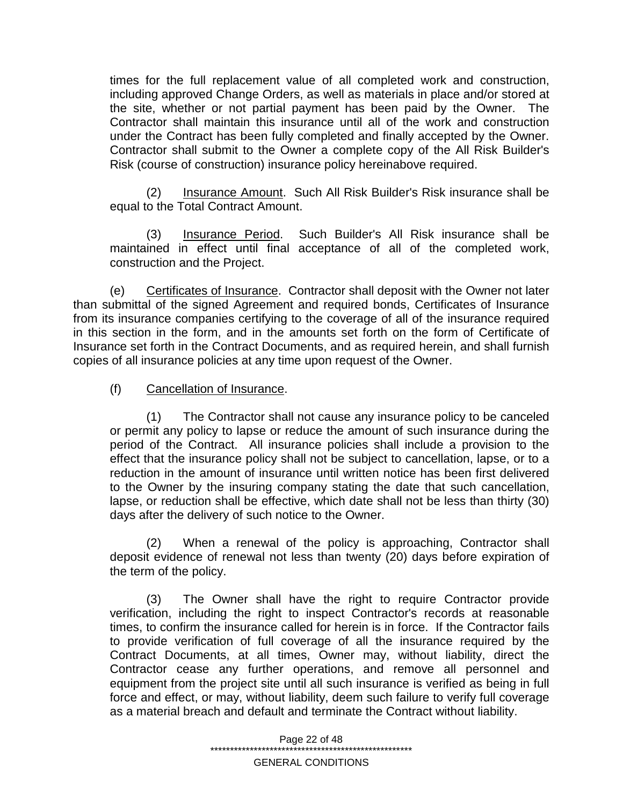times for the full replacement value of all completed work and construction, including approved Change Orders, as well as materials in place and/or stored at the site, whether or not partial payment has been paid by the Owner. The Contractor shall maintain this insurance until all of the work and construction under the Contract has been fully completed and finally accepted by the Owner. Contractor shall submit to the Owner a complete copy of the All Risk Builder's Risk (course of construction) insurance policy hereinabove required.

(2) Insurance Amount. Such All Risk Builder's Risk insurance shall be equal to the Total Contract Amount.

(3) Insurance Period. Such Builder's All Risk insurance shall be maintained in effect until final acceptance of all of the completed work, construction and the Project.

(e) Certificates of Insurance. Contractor shall deposit with the Owner not later than submittal of the signed Agreement and required bonds, Certificates of Insurance from its insurance companies certifying to the coverage of all of the insurance required in this section in the form, and in the amounts set forth on the form of Certificate of Insurance set forth in the Contract Documents, and as required herein, and shall furnish copies of all insurance policies at any time upon request of the Owner.

### (f) Cancellation of Insurance.

(1) The Contractor shall not cause any insurance policy to be canceled or permit any policy to lapse or reduce the amount of such insurance during the period of the Contract. All insurance policies shall include a provision to the effect that the insurance policy shall not be subject to cancellation, lapse, or to a reduction in the amount of insurance until written notice has been first delivered to the Owner by the insuring company stating the date that such cancellation, lapse, or reduction shall be effective, which date shall not be less than thirty (30) days after the delivery of such notice to the Owner.

(2) When a renewal of the policy is approaching, Contractor shall deposit evidence of renewal not less than twenty (20) days before expiration of the term of the policy.

(3) The Owner shall have the right to require Contractor provide verification, including the right to inspect Contractor's records at reasonable times, to confirm the insurance called for herein is in force. If the Contractor fails to provide verification of full coverage of all the insurance required by the Contract Documents, at all times, Owner may, without liability, direct the Contractor cease any further operations, and remove all personnel and equipment from the project site until all such insurance is verified as being in full force and effect, or may, without liability, deem such failure to verify full coverage as a material breach and default and terminate the Contract without liability.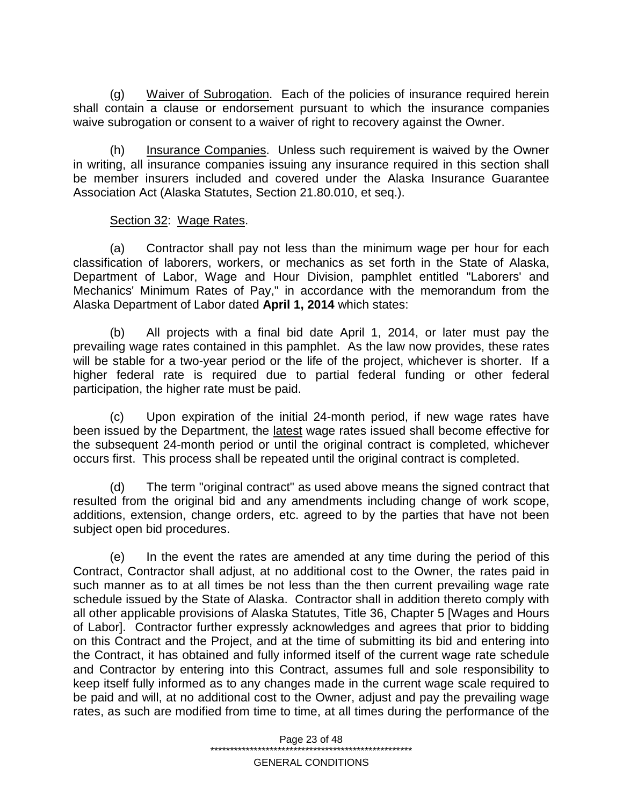(g) Waiver of Subrogation. Each of the policies of insurance required herein shall contain a clause or endorsement pursuant to which the insurance companies waive subrogation or consent to a waiver of right to recovery against the Owner.

(h) Insurance Companies. Unless such requirement is waived by the Owner in writing, all insurance companies issuing any insurance required in this section shall be member insurers included and covered under the Alaska Insurance Guarantee Association Act (Alaska Statutes, Section 21.80.010, et seq.).

### Section 32: Wage Rates.

(a) Contractor shall pay not less than the minimum wage per hour for each classification of laborers, workers, or mechanics as set forth in the State of Alaska, Department of Labor, Wage and Hour Division, pamphlet entitled "Laborers' and Mechanics' Minimum Rates of Pay," in accordance with the memorandum from the Alaska Department of Labor dated **April 1, 2014** which states:

(b) All projects with a final bid date April 1, 2014, or later must pay the prevailing wage rates contained in this pamphlet. As the law now provides, these rates will be stable for a two-year period or the life of the project, whichever is shorter. If a higher federal rate is required due to partial federal funding or other federal participation, the higher rate must be paid.

(c) Upon expiration of the initial 24-month period, if new wage rates have been issued by the Department, the latest wage rates issued shall become effective for the subsequent 24-month period or until the original contract is completed, whichever occurs first. This process shall be repeated until the original contract is completed.

(d) The term "original contract" as used above means the signed contract that resulted from the original bid and any amendments including change of work scope, additions, extension, change orders, etc. agreed to by the parties that have not been subject open bid procedures.

(e) In the event the rates are amended at any time during the period of this Contract, Contractor shall adjust, at no additional cost to the Owner, the rates paid in such manner as to at all times be not less than the then current prevailing wage rate schedule issued by the State of Alaska. Contractor shall in addition thereto comply with all other applicable provisions of Alaska Statutes, Title 36, Chapter 5 [Wages and Hours of Labor]. Contractor further expressly acknowledges and agrees that prior to bidding on this Contract and the Project, and at the time of submitting its bid and entering into the Contract, it has obtained and fully informed itself of the current wage rate schedule and Contractor by entering into this Contract, assumes full and sole responsibility to keep itself fully informed as to any changes made in the current wage scale required to be paid and will, at no additional cost to the Owner, adjust and pay the prevailing wage rates, as such are modified from time to time, at all times during the performance of the

> Page 23 of 48 \*\*\*\*\*\*\*\*\*\*\*\*\*\*\*\*\*\*\*\*\*\*\*\*\*\*\*\*\*\*\*\*\*\*\*\*\*\*\*\*\*\*\*\*\*\*\*\*\*\*\* GENERAL CONDITIONS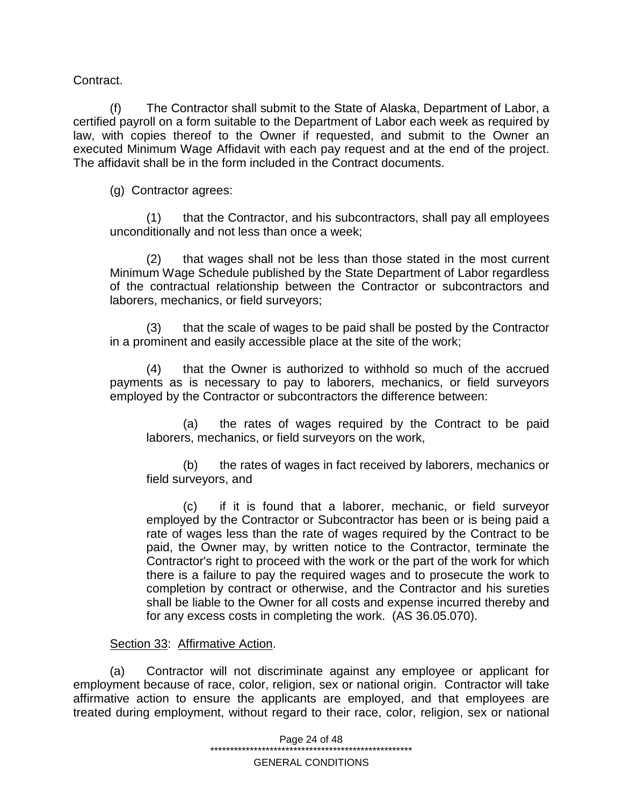Contract.

(f) The Contractor shall submit to the State of Alaska, Department of Labor, a certified payroll on a form suitable to the Department of Labor each week as required by law, with copies thereof to the Owner if requested, and submit to the Owner an executed Minimum Wage Affidavit with each pay request and at the end of the project. The affidavit shall be in the form included in the Contract documents.

(g) Contractor agrees:

(1) that the Contractor, and his subcontractors, shall pay all employees unconditionally and not less than once a week;

(2) that wages shall not be less than those stated in the most current Minimum Wage Schedule published by the State Department of Labor regardless of the contractual relationship between the Contractor or subcontractors and laborers, mechanics, or field surveyors;

(3) that the scale of wages to be paid shall be posted by the Contractor in a prominent and easily accessible place at the site of the work;

(4) that the Owner is authorized to withhold so much of the accrued payments as is necessary to pay to laborers, mechanics, or field surveyors employed by the Contractor or subcontractors the difference between:

(a) the rates of wages required by the Contract to be paid laborers, mechanics, or field surveyors on the work,

(b) the rates of wages in fact received by laborers, mechanics or field surveyors, and

(c) if it is found that a laborer, mechanic, or field surveyor employed by the Contractor or Subcontractor has been or is being paid a rate of wages less than the rate of wages required by the Contract to be paid, the Owner may, by written notice to the Contractor, terminate the Contractor's right to proceed with the work or the part of the work for which there is a failure to pay the required wages and to prosecute the work to completion by contract or otherwise, and the Contractor and his sureties shall be liable to the Owner for all costs and expense incurred thereby and for any excess costs in completing the work. (AS 36.05.070).

### Section 33: Affirmative Action.

(a) Contractor will not discriminate against any employee or applicant for employment because of race, color, religion, sex or national origin. Contractor will take affirmative action to ensure the applicants are employed, and that employees are treated during employment, without regard to their race, color, religion, sex or national

> Page 24 of 48 \*\*\*\*\*\*\*\*\*\*\*\*\*\*\*\*\*\*\*\*\*\*\*\*\*\*\*\*\*\*\*\*\*\*\*\*\*\*\*\*\*\*\*\*\*\*\*\*\*\*\*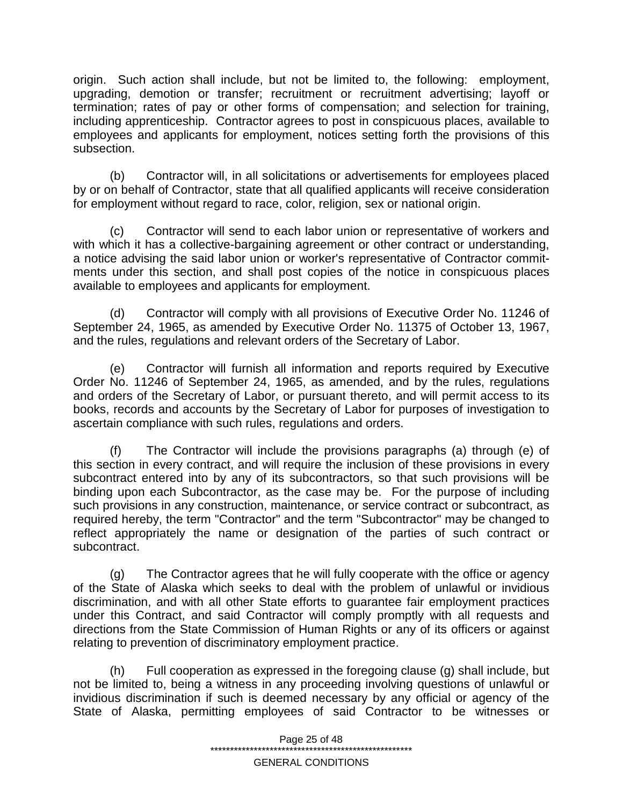origin. Such action shall include, but not be limited to, the following: employment, upgrading, demotion or transfer; recruitment or recruitment advertising; layoff or termination; rates of pay or other forms of compensation; and selection for training, including apprenticeship. Contractor agrees to post in conspicuous places, available to employees and applicants for employment, notices setting forth the provisions of this subsection.

(b) Contractor will, in all solicitations or advertisements for employees placed by or on behalf of Contractor, state that all qualified applicants will receive consideration for employment without regard to race, color, religion, sex or national origin.

(c) Contractor will send to each labor union or representative of workers and with which it has a collective-bargaining agreement or other contract or understanding, a notice advising the said labor union or worker's representative of Contractor commitments under this section, and shall post copies of the notice in conspicuous places available to employees and applicants for employment.

(d) Contractor will comply with all provisions of Executive Order No. 11246 of September 24, 1965, as amended by Executive Order No. 11375 of October 13, 1967, and the rules, regulations and relevant orders of the Secretary of Labor.

(e) Contractor will furnish all information and reports required by Executive Order No. 11246 of September 24, 1965, as amended, and by the rules, regulations and orders of the Secretary of Labor, or pursuant thereto, and will permit access to its books, records and accounts by the Secretary of Labor for purposes of investigation to ascertain compliance with such rules, regulations and orders.

(f) The Contractor will include the provisions paragraphs (a) through (e) of this section in every contract, and will require the inclusion of these provisions in every subcontract entered into by any of its subcontractors, so that such provisions will be binding upon each Subcontractor, as the case may be. For the purpose of including such provisions in any construction, maintenance, or service contract or subcontract, as required hereby, the term "Contractor" and the term "Subcontractor" may be changed to reflect appropriately the name or designation of the parties of such contract or subcontract.

(g) The Contractor agrees that he will fully cooperate with the office or agency of the State of Alaska which seeks to deal with the problem of unlawful or invidious discrimination, and with all other State efforts to guarantee fair employment practices under this Contract, and said Contractor will comply promptly with all requests and directions from the State Commission of Human Rights or any of its officers or against relating to prevention of discriminatory employment practice.

(h) Full cooperation as expressed in the foregoing clause (g) shall include, but not be limited to, being a witness in any proceeding involving questions of unlawful or invidious discrimination if such is deemed necessary by any official or agency of the State of Alaska, permitting employees of said Contractor to be witnesses or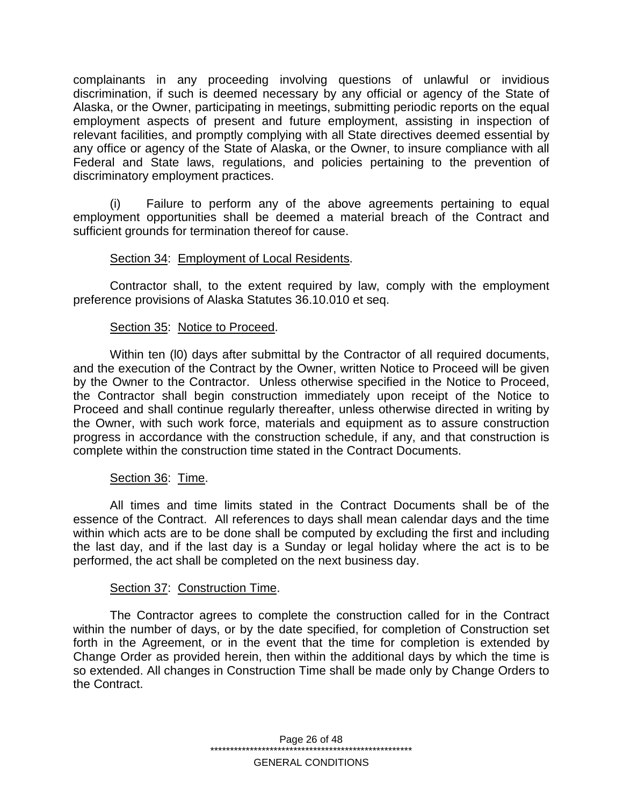complainants in any proceeding involving questions of unlawful or invidious discrimination, if such is deemed necessary by any official or agency of the State of Alaska, or the Owner, participating in meetings, submitting periodic reports on the equal employment aspects of present and future employment, assisting in inspection of relevant facilities, and promptly complying with all State directives deemed essential by any office or agency of the State of Alaska, or the Owner, to insure compliance with all Federal and State laws, regulations, and policies pertaining to the prevention of discriminatory employment practices.

(i) Failure to perform any of the above agreements pertaining to equal employment opportunities shall be deemed a material breach of the Contract and sufficient grounds for termination thereof for cause.

#### Section 34: Employment of Local Residents.

Contractor shall, to the extent required by law, comply with the employment preference provisions of Alaska Statutes 36.10.010 et seq.

#### Section 35: Notice to Proceed.

Within ten (l0) days after submittal by the Contractor of all required documents, and the execution of the Contract by the Owner, written Notice to Proceed will be given by the Owner to the Contractor. Unless otherwise specified in the Notice to Proceed, the Contractor shall begin construction immediately upon receipt of the Notice to Proceed and shall continue regularly thereafter, unless otherwise directed in writing by the Owner, with such work force, materials and equipment as to assure construction progress in accordance with the construction schedule, if any, and that construction is complete within the construction time stated in the Contract Documents.

### Section 36: Time.

All times and time limits stated in the Contract Documents shall be of the essence of the Contract. All references to days shall mean calendar days and the time within which acts are to be done shall be computed by excluding the first and including the last day, and if the last day is a Sunday or legal holiday where the act is to be performed, the act shall be completed on the next business day.

#### Section 37: Construction Time.

The Contractor agrees to complete the construction called for in the Contract within the number of days, or by the date specified, for completion of Construction set forth in the Agreement, or in the event that the time for completion is extended by Change Order as provided herein, then within the additional days by which the time is so extended. All changes in Construction Time shall be made only by Change Orders to the Contract.

> Page 26 of 48 \*\*\*\*\*\*\*\*\*\*\*\*\*\*\*\*\*\*\*\*\*\*\*\*\*\*\*\*\*\*\*\*\*\*\*\*\*\*\*\*\*\*\*\*\*\*\*\*\*\*\* GENERAL CONDITIONS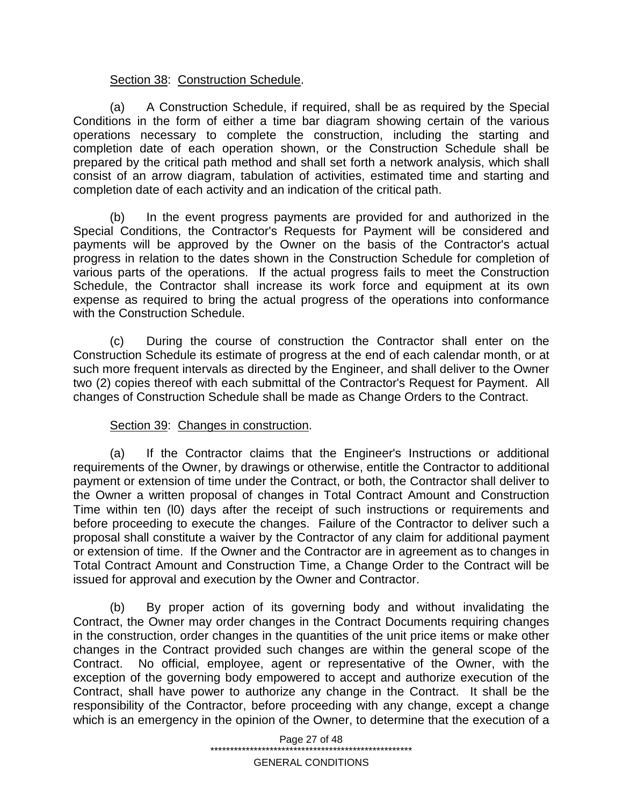### Section 38: Construction Schedule.

(a) A Construction Schedule, if required, shall be as required by the Special Conditions in the form of either a time bar diagram showing certain of the various operations necessary to complete the construction, including the starting and completion date of each operation shown, or the Construction Schedule shall be prepared by the critical path method and shall set forth a network analysis, which shall consist of an arrow diagram, tabulation of activities, estimated time and starting and completion date of each activity and an indication of the critical path.

(b) In the event progress payments are provided for and authorized in the Special Conditions, the Contractor's Requests for Payment will be considered and payments will be approved by the Owner on the basis of the Contractor's actual progress in relation to the dates shown in the Construction Schedule for completion of various parts of the operations. If the actual progress fails to meet the Construction Schedule, the Contractor shall increase its work force and equipment at its own expense as required to bring the actual progress of the operations into conformance with the Construction Schedule.

(c) During the course of construction the Contractor shall enter on the Construction Schedule its estimate of progress at the end of each calendar month, or at such more frequent intervals as directed by the Engineer, and shall deliver to the Owner two (2) copies thereof with each submittal of the Contractor's Request for Payment. All changes of Construction Schedule shall be made as Change Orders to the Contract.

### Section 39: Changes in construction.

(a) If the Contractor claims that the Engineer's Instructions or additional requirements of the Owner, by drawings or otherwise, entitle the Contractor to additional payment or extension of time under the Contract, or both, the Contractor shall deliver to the Owner a written proposal of changes in Total Contract Amount and Construction Time within ten (l0) days after the receipt of such instructions or requirements and before proceeding to execute the changes. Failure of the Contractor to deliver such a proposal shall constitute a waiver by the Contractor of any claim for additional payment or extension of time. If the Owner and the Contractor are in agreement as to changes in Total Contract Amount and Construction Time, a Change Order to the Contract will be issued for approval and execution by the Owner and Contractor.

(b) By proper action of its governing body and without invalidating the Contract, the Owner may order changes in the Contract Documents requiring changes in the construction, order changes in the quantities of the unit price items or make other changes in the Contract provided such changes are within the general scope of the Contract. No official, employee, agent or representative of the Owner, with the exception of the governing body empowered to accept and authorize execution of the Contract, shall have power to authorize any change in the Contract. It shall be the responsibility of the Contractor, before proceeding with any change, except a change which is an emergency in the opinion of the Owner, to determine that the execution of a

> Page 27 of 48 \*\*\*\*\*\*\*\*\*\*\*\*\*\*\*\*\*\*\*\*\*\*\*\*\*\*\*\*\*\*\*\*\*\*\*\*\*\*\*\*\*\*\*\*\*\*\*\*\*\*\*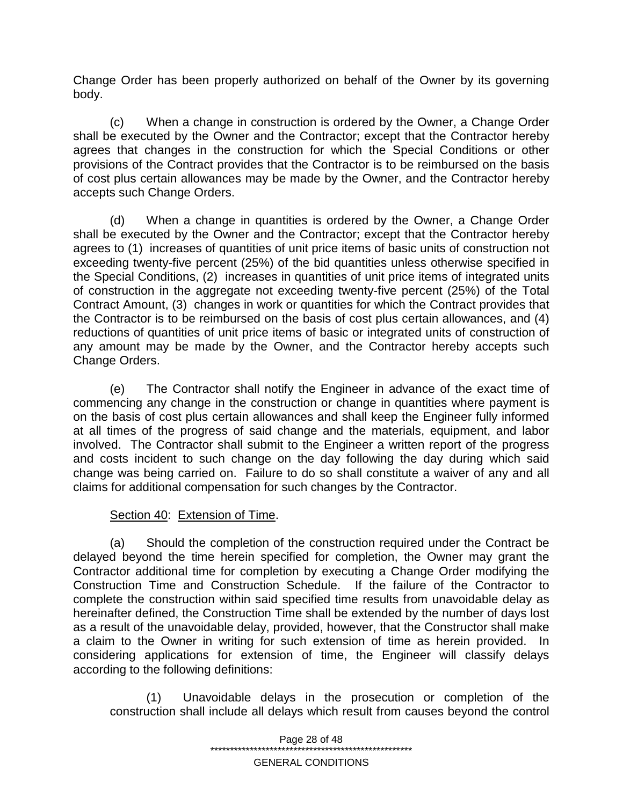Change Order has been properly authorized on behalf of the Owner by its governing body.

(c) When a change in construction is ordered by the Owner, a Change Order shall be executed by the Owner and the Contractor; except that the Contractor hereby agrees that changes in the construction for which the Special Conditions or other provisions of the Contract provides that the Contractor is to be reimbursed on the basis of cost plus certain allowances may be made by the Owner, and the Contractor hereby accepts such Change Orders.

(d) When a change in quantities is ordered by the Owner, a Change Order shall be executed by the Owner and the Contractor; except that the Contractor hereby agrees to (1) increases of quantities of unit price items of basic units of construction not exceeding twenty-five percent (25%) of the bid quantities unless otherwise specified in the Special Conditions, (2) increases in quantities of unit price items of integrated units of construction in the aggregate not exceeding twenty-five percent (25%) of the Total Contract Amount, (3) changes in work or quantities for which the Contract provides that the Contractor is to be reimbursed on the basis of cost plus certain allowances, and (4) reductions of quantities of unit price items of basic or integrated units of construction of any amount may be made by the Owner, and the Contractor hereby accepts such Change Orders.

(e) The Contractor shall notify the Engineer in advance of the exact time of commencing any change in the construction or change in quantities where payment is on the basis of cost plus certain allowances and shall keep the Engineer fully informed at all times of the progress of said change and the materials, equipment, and labor involved. The Contractor shall submit to the Engineer a written report of the progress and costs incident to such change on the day following the day during which said change was being carried on. Failure to do so shall constitute a waiver of any and all claims for additional compensation for such changes by the Contractor.

# Section 40: Extension of Time.

(a) Should the completion of the construction required under the Contract be delayed beyond the time herein specified for completion, the Owner may grant the Contractor additional time for completion by executing a Change Order modifying the Construction Time and Construction Schedule. If the failure of the Contractor to complete the construction within said specified time results from unavoidable delay as hereinafter defined, the Construction Time shall be extended by the number of days lost as a result of the unavoidable delay, provided, however, that the Constructor shall make a claim to the Owner in writing for such extension of time as herein provided. In considering applications for extension of time, the Engineer will classify delays according to the following definitions:

(1) Unavoidable delays in the prosecution or completion of the construction shall include all delays which result from causes beyond the control

> Page 28 of 48 \*\*\*\*\*\*\*\*\*\*\*\*\*\*\*\*\*\*\*\*\*\*\*\*\*\*\*\*\*\*\*\*\*\*\*\*\*\*\*\*\*\*\*\*\*\*\*\*\*\*\*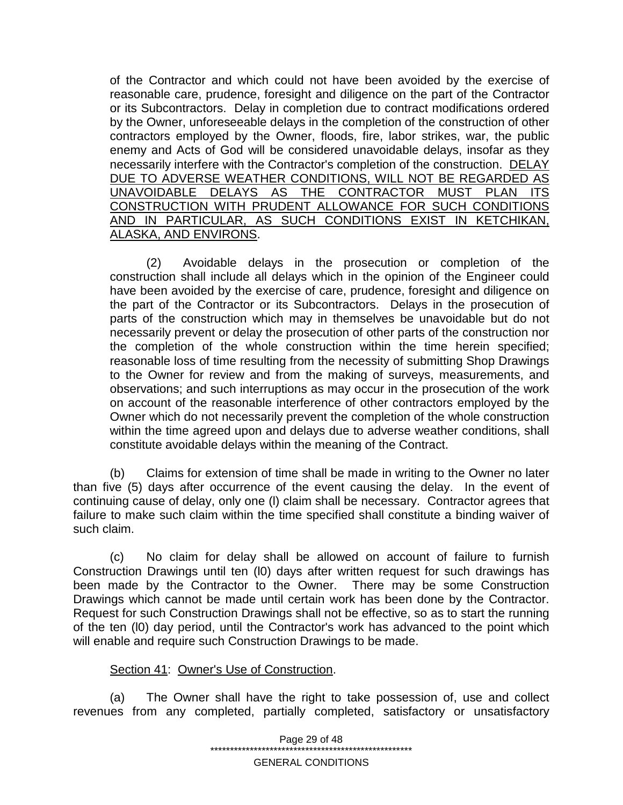of the Contractor and which could not have been avoided by the exercise of reasonable care, prudence, foresight and diligence on the part of the Contractor or its Subcontractors. Delay in completion due to contract modifications ordered by the Owner, unforeseeable delays in the completion of the construction of other contractors employed by the Owner, floods, fire, labor strikes, war, the public enemy and Acts of God will be considered unavoidable delays, insofar as they necessarily interfere with the Contractor's completion of the construction. DELAY DUE TO ADVERSE WEATHER CONDITIONS, WILL NOT BE REGARDED AS UNAVOIDABLE DELAYS AS THE CONTRACTOR MUST PLAN ITS CONSTRUCTION WITH PRUDENT ALLOWANCE FOR SUCH CONDITIONS AND IN PARTICULAR, AS SUCH CONDITIONS EXIST IN KETCHIKAN, ALASKA, AND ENVIRONS.

(2) Avoidable delays in the prosecution or completion of the construction shall include all delays which in the opinion of the Engineer could have been avoided by the exercise of care, prudence, foresight and diligence on the part of the Contractor or its Subcontractors. Delays in the prosecution of parts of the construction which may in themselves be unavoidable but do not necessarily prevent or delay the prosecution of other parts of the construction nor the completion of the whole construction within the time herein specified; reasonable loss of time resulting from the necessity of submitting Shop Drawings to the Owner for review and from the making of surveys, measurements, and observations; and such interruptions as may occur in the prosecution of the work on account of the reasonable interference of other contractors employed by the Owner which do not necessarily prevent the completion of the whole construction within the time agreed upon and delays due to adverse weather conditions, shall constitute avoidable delays within the meaning of the Contract.

(b) Claims for extension of time shall be made in writing to the Owner no later than five (5) days after occurrence of the event causing the delay. In the event of continuing cause of delay, only one (l) claim shall be necessary. Contractor agrees that failure to make such claim within the time specified shall constitute a binding waiver of such claim.

(c) No claim for delay shall be allowed on account of failure to furnish Construction Drawings until ten (l0) days after written request for such drawings has been made by the Contractor to the Owner. There may be some Construction Drawings which cannot be made until certain work has been done by the Contractor. Request for such Construction Drawings shall not be effective, so as to start the running of the ten (l0) day period, until the Contractor's work has advanced to the point which will enable and require such Construction Drawings to be made.

### Section 41: Owner's Use of Construction.

(a) The Owner shall have the right to take possession of, use and collect revenues from any completed, partially completed, satisfactory or unsatisfactory

> Page 29 of 48 \*\*\*\*\*\*\*\*\*\*\*\*\*\*\*\*\*\*\*\*\*\*\*\*\*\*\*\*\*\*\*\*\*\*\*\*\*\*\*\*\*\*\*\*\*\*\*\*\*\*\*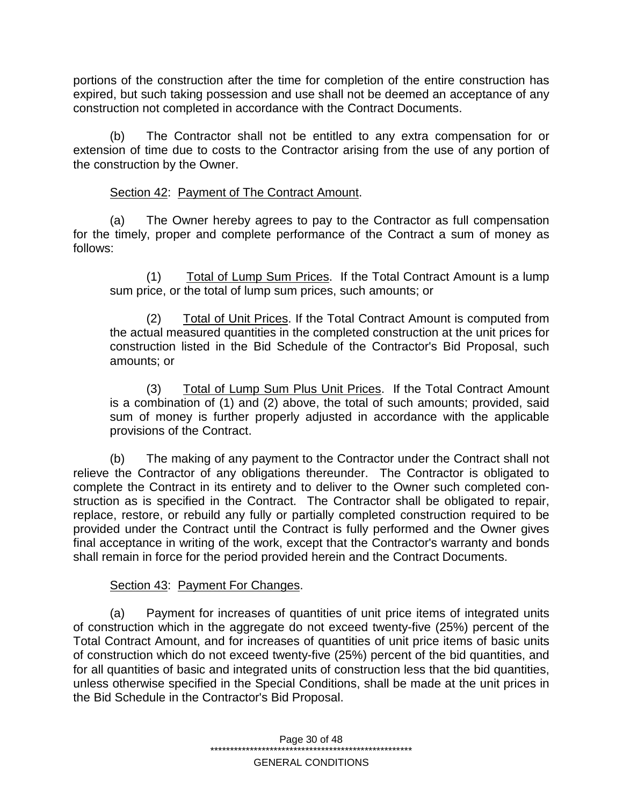portions of the construction after the time for completion of the entire construction has expired, but such taking possession and use shall not be deemed an acceptance of any construction not completed in accordance with the Contract Documents.

(b) The Contractor shall not be entitled to any extra compensation for or extension of time due to costs to the Contractor arising from the use of any portion of the construction by the Owner.

# Section 42: Payment of The Contract Amount.

(a) The Owner hereby agrees to pay to the Contractor as full compensation for the timely, proper and complete performance of the Contract a sum of money as follows:

(1) Total of Lump Sum Prices. If the Total Contract Amount is a lump sum price, or the total of lump sum prices, such amounts; or

(2) Total of Unit Prices. If the Total Contract Amount is computed from the actual measured quantities in the completed construction at the unit prices for construction listed in the Bid Schedule of the Contractor's Bid Proposal, such amounts; or

(3) Total of Lump Sum Plus Unit Prices. If the Total Contract Amount is a combination of (1) and (2) above, the total of such amounts; provided, said sum of money is further properly adjusted in accordance with the applicable provisions of the Contract.

(b) The making of any payment to the Contractor under the Contract shall not relieve the Contractor of any obligations thereunder. The Contractor is obligated to complete the Contract in its entirety and to deliver to the Owner such completed construction as is specified in the Contract. The Contractor shall be obligated to repair, replace, restore, or rebuild any fully or partially completed construction required to be provided under the Contract until the Contract is fully performed and the Owner gives final acceptance in writing of the work, except that the Contractor's warranty and bonds shall remain in force for the period provided herein and the Contract Documents.

# Section 43: Payment For Changes.

(a) Payment for increases of quantities of unit price items of integrated units of construction which in the aggregate do not exceed twenty-five (25%) percent of the Total Contract Amount, and for increases of quantities of unit price items of basic units of construction which do not exceed twenty-five (25%) percent of the bid quantities, and for all quantities of basic and integrated units of construction less that the bid quantities, unless otherwise specified in the Special Conditions, shall be made at the unit prices in the Bid Schedule in the Contractor's Bid Proposal.

> Page 30 of 48 \*\*\*\*\*\*\*\*\*\*\*\*\*\*\*\*\*\*\*\*\*\*\*\*\*\*\*\*\*\*\*\*\*\*\*\*\*\*\*\*\*\*\*\*\*\*\*\*\*\*\*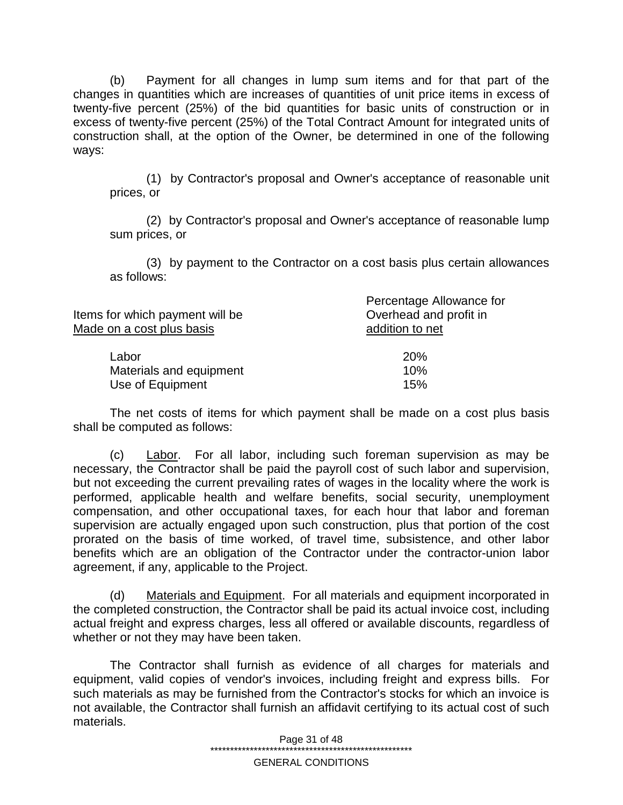(b) Payment for all changes in lump sum items and for that part of the changes in quantities which are increases of quantities of unit price items in excess of twenty-five percent (25%) of the bid quantities for basic units of construction or in excess of twenty-five percent (25%) of the Total Contract Amount for integrated units of construction shall, at the option of the Owner, be determined in one of the following ways:

(1) by Contractor's proposal and Owner's acceptance of reasonable unit prices, or

(2) by Contractor's proposal and Owner's acceptance of reasonable lump sum prices, or

(3) by payment to the Contractor on a cost basis plus certain allowances as follows:

| Items for which payment will be<br>Made on a cost plus basis | Percentage Allowance for<br>Overhead and profit in<br>addition to net |
|--------------------------------------------------------------|-----------------------------------------------------------------------|
| Labor                                                        | 20%                                                                   |
| Materials and equipment                                      | 10%                                                                   |
| Use of Equipment                                             | 15%                                                                   |

The net costs of items for which payment shall be made on a cost plus basis shall be computed as follows:

(c) Labor. For all labor, including such foreman supervision as may be necessary, the Contractor shall be paid the payroll cost of such labor and supervision, but not exceeding the current prevailing rates of wages in the locality where the work is performed, applicable health and welfare benefits, social security, unemployment compensation, and other occupational taxes, for each hour that labor and foreman supervision are actually engaged upon such construction, plus that portion of the cost prorated on the basis of time worked, of travel time, subsistence, and other labor benefits which are an obligation of the Contractor under the contractor-union labor agreement, if any, applicable to the Project.

(d) Materials and Equipment. For all materials and equipment incorporated in the completed construction, the Contractor shall be paid its actual invoice cost, including actual freight and express charges, less all offered or available discounts, regardless of whether or not they may have been taken.

The Contractor shall furnish as evidence of all charges for materials and equipment, valid copies of vendor's invoices, including freight and express bills. For such materials as may be furnished from the Contractor's stocks for which an invoice is not available, the Contractor shall furnish an affidavit certifying to its actual cost of such materials.

> Page 31 of 48 \*\*\*\*\*\*\*\*\*\*\*\*\*\*\*\*\*\*\*\*\*\*\*\*\*\*\*\*\*\*\*\*\*\*\*\*\*\*\*\*\*\*\*\*\*\*\*\*\*\*\*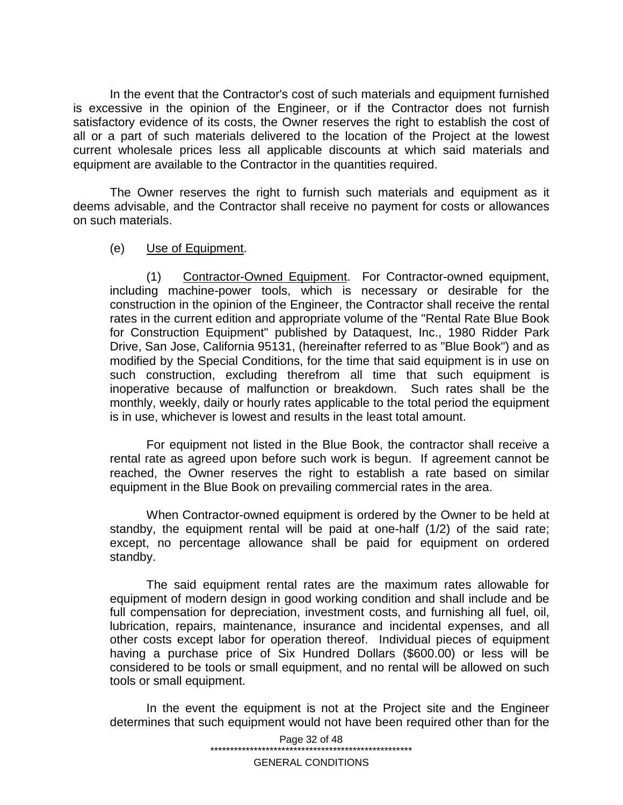In the event that the Contractor's cost of such materials and equipment furnished is excessive in the opinion of the Engineer, or if the Contractor does not furnish satisfactory evidence of its costs, the Owner reserves the right to establish the cost of all or a part of such materials delivered to the location of the Project at the lowest current wholesale prices less all applicable discounts at which said materials and equipment are available to the Contractor in the quantities required.

The Owner reserves the right to furnish such materials and equipment as it deems advisable, and the Contractor shall receive no payment for costs or allowances on such materials.

#### (e) Use of Equipment.

(1) Contractor-Owned Equipment. For Contractor-owned equipment, including machine-power tools, which is necessary or desirable for the construction in the opinion of the Engineer, the Contractor shall receive the rental rates in the current edition and appropriate volume of the "Rental Rate Blue Book for Construction Equipment" published by Dataquest, Inc., 1980 Ridder Park Drive, San Jose, California 95131, (hereinafter referred to as "Blue Book") and as modified by the Special Conditions, for the time that said equipment is in use on such construction, excluding therefrom all time that such equipment is inoperative because of malfunction or breakdown. Such rates shall be the monthly, weekly, daily or hourly rates applicable to the total period the equipment is in use, whichever is lowest and results in the least total amount.

For equipment not listed in the Blue Book, the contractor shall receive a rental rate as agreed upon before such work is begun. If agreement cannot be reached, the Owner reserves the right to establish a rate based on similar equipment in the Blue Book on prevailing commercial rates in the area.

When Contractor-owned equipment is ordered by the Owner to be held at standby, the equipment rental will be paid at one-half (1/2) of the said rate; except, no percentage allowance shall be paid for equipment on ordered standby.

The said equipment rental rates are the maximum rates allowable for equipment of modern design in good working condition and shall include and be full compensation for depreciation, investment costs, and furnishing all fuel, oil, lubrication, repairs, maintenance, insurance and incidental expenses, and all other costs except labor for operation thereof. Individual pieces of equipment having a purchase price of Six Hundred Dollars (\$600.00) or less will be considered to be tools or small equipment, and no rental will be allowed on such tools or small equipment.

In the event the equipment is not at the Project site and the Engineer determines that such equipment would not have been required other than for the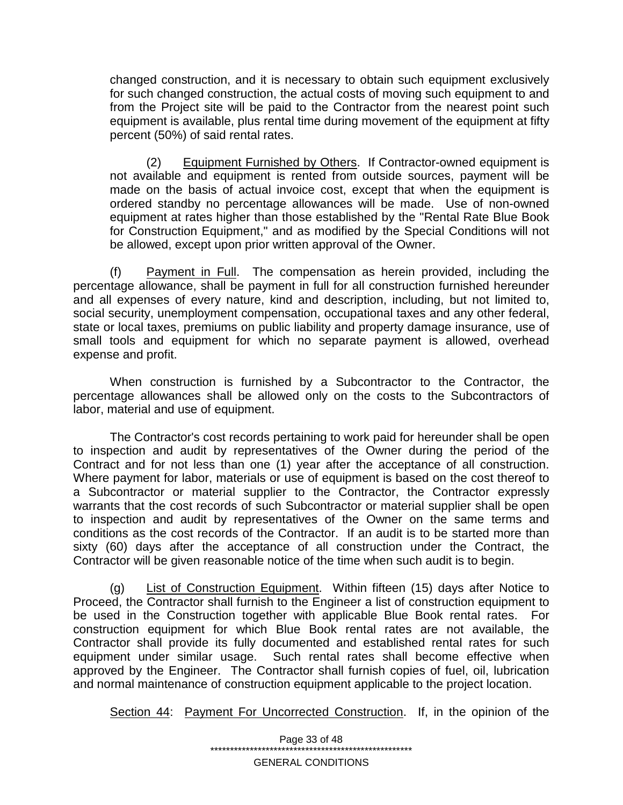changed construction, and it is necessary to obtain such equipment exclusively for such changed construction, the actual costs of moving such equipment to and from the Project site will be paid to the Contractor from the nearest point such equipment is available, plus rental time during movement of the equipment at fifty percent (50%) of said rental rates.

(2) Equipment Furnished by Others. If Contractor-owned equipment is not available and equipment is rented from outside sources, payment will be made on the basis of actual invoice cost, except that when the equipment is ordered standby no percentage allowances will be made. Use of non-owned equipment at rates higher than those established by the "Rental Rate Blue Book for Construction Equipment," and as modified by the Special Conditions will not be allowed, except upon prior written approval of the Owner.

(f) Payment in Full. The compensation as herein provided, including the percentage allowance, shall be payment in full for all construction furnished hereunder and all expenses of every nature, kind and description, including, but not limited to, social security, unemployment compensation, occupational taxes and any other federal, state or local taxes, premiums on public liability and property damage insurance, use of small tools and equipment for which no separate payment is allowed, overhead expense and profit.

When construction is furnished by a Subcontractor to the Contractor, the percentage allowances shall be allowed only on the costs to the Subcontractors of labor, material and use of equipment.

The Contractor's cost records pertaining to work paid for hereunder shall be open to inspection and audit by representatives of the Owner during the period of the Contract and for not less than one (1) year after the acceptance of all construction. Where payment for labor, materials or use of equipment is based on the cost thereof to a Subcontractor or material supplier to the Contractor, the Contractor expressly warrants that the cost records of such Subcontractor or material supplier shall be open to inspection and audit by representatives of the Owner on the same terms and conditions as the cost records of the Contractor. If an audit is to be started more than sixty (60) days after the acceptance of all construction under the Contract, the Contractor will be given reasonable notice of the time when such audit is to begin.

(g) List of Construction Equipment. Within fifteen (15) days after Notice to Proceed, the Contractor shall furnish to the Engineer a list of construction equipment to be used in the Construction together with applicable Blue Book rental rates. For construction equipment for which Blue Book rental rates are not available, the Contractor shall provide its fully documented and established rental rates for such equipment under similar usage. Such rental rates shall become effective when approved by the Engineer. The Contractor shall furnish copies of fuel, oil, lubrication and normal maintenance of construction equipment applicable to the project location.

Section 44: Payment For Uncorrected Construction. If, in the opinion of the

Page 33 of 48 \*\*\*\*\*\*\*\*\*\*\*\*\*\*\*\*\*\*\*\*\*\*\*\*\*\*\*\*\*\*\*\*\*\*\*\*\*\*\*\*\*\*\*\*\*\*\*\*\*\*\*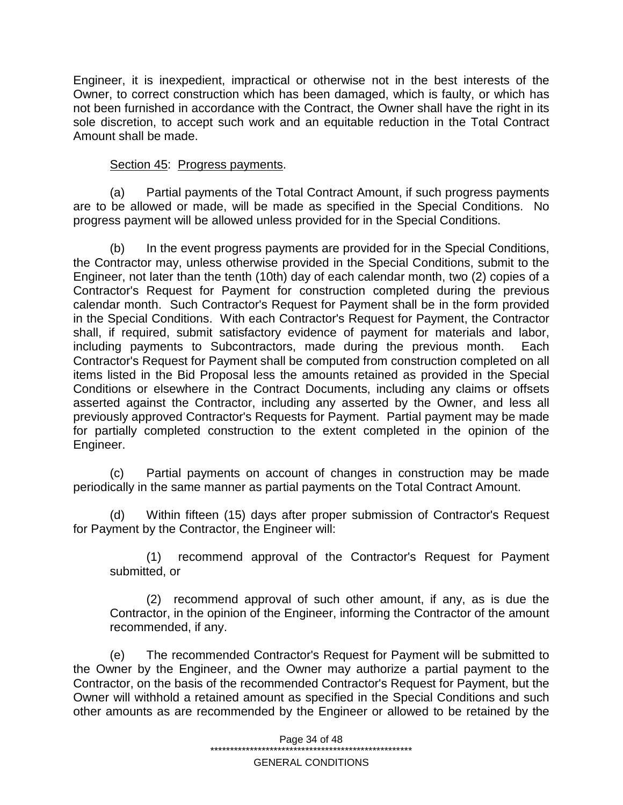Engineer, it is inexpedient, impractical or otherwise not in the best interests of the Owner, to correct construction which has been damaged, which is faulty, or which has not been furnished in accordance with the Contract, the Owner shall have the right in its sole discretion, to accept such work and an equitable reduction in the Total Contract Amount shall be made.

### Section 45: Progress payments.

(a) Partial payments of the Total Contract Amount, if such progress payments are to be allowed or made, will be made as specified in the Special Conditions. No progress payment will be allowed unless provided for in the Special Conditions.

(b) In the event progress payments are provided for in the Special Conditions, the Contractor may, unless otherwise provided in the Special Conditions, submit to the Engineer, not later than the tenth (10th) day of each calendar month, two (2) copies of a Contractor's Request for Payment for construction completed during the previous calendar month. Such Contractor's Request for Payment shall be in the form provided in the Special Conditions. With each Contractor's Request for Payment, the Contractor shall, if required, submit satisfactory evidence of payment for materials and labor, including payments to Subcontractors, made during the previous month. Each Contractor's Request for Payment shall be computed from construction completed on all items listed in the Bid Proposal less the amounts retained as provided in the Special Conditions or elsewhere in the Contract Documents, including any claims or offsets asserted against the Contractor, including any asserted by the Owner, and less all previously approved Contractor's Requests for Payment. Partial payment may be made for partially completed construction to the extent completed in the opinion of the Engineer.

(c) Partial payments on account of changes in construction may be made periodically in the same manner as partial payments on the Total Contract Amount.

(d) Within fifteen (15) days after proper submission of Contractor's Request for Payment by the Contractor, the Engineer will:

(1) recommend approval of the Contractor's Request for Payment submitted, or

(2) recommend approval of such other amount, if any, as is due the Contractor, in the opinion of the Engineer, informing the Contractor of the amount recommended, if any.

(e) The recommended Contractor's Request for Payment will be submitted to the Owner by the Engineer, and the Owner may authorize a partial payment to the Contractor, on the basis of the recommended Contractor's Request for Payment, but the Owner will withhold a retained amount as specified in the Special Conditions and such other amounts as are recommended by the Engineer or allowed to be retained by the

Page 34 of 48

\*\*\*\*\*\*\*\*\*\*\*\*\*\*\*\*\*\*\*\*\*\*\*\*\*\*\*\*\*\*\*\*\*\*\*\*\*\*\*\*\*\*\*\*\*\*\*\*\*\*\*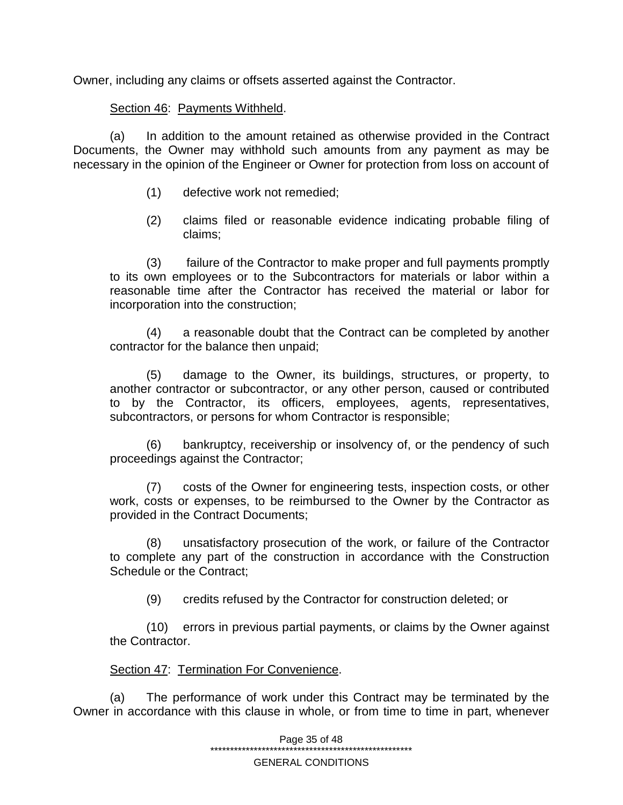Owner, including any claims or offsets asserted against the Contractor.

# Section 46: Payments Withheld.

(a) In addition to the amount retained as otherwise provided in the Contract Documents, the Owner may withhold such amounts from any payment as may be necessary in the opinion of the Engineer or Owner for protection from loss on account of

- (1) defective work not remedied;
- (2) claims filed or reasonable evidence indicating probable filing of claims;

(3) failure of the Contractor to make proper and full payments promptly to its own employees or to the Subcontractors for materials or labor within a reasonable time after the Contractor has received the material or labor for incorporation into the construction;

(4) a reasonable doubt that the Contract can be completed by another contractor for the balance then unpaid;

(5) damage to the Owner, its buildings, structures, or property, to another contractor or subcontractor, or any other person, caused or contributed to by the Contractor, its officers, employees, agents, representatives, subcontractors, or persons for whom Contractor is responsible;

(6) bankruptcy, receivership or insolvency of, or the pendency of such proceedings against the Contractor;

(7) costs of the Owner for engineering tests, inspection costs, or other work, costs or expenses, to be reimbursed to the Owner by the Contractor as provided in the Contract Documents;

(8) unsatisfactory prosecution of the work, or failure of the Contractor to complete any part of the construction in accordance with the Construction Schedule or the Contract;

(9) credits refused by the Contractor for construction deleted; or

(10) errors in previous partial payments, or claims by the Owner against the Contractor.

### Section 47: Termination For Convenience.

(a) The performance of work under this Contract may be terminated by the Owner in accordance with this clause in whole, or from time to time in part, whenever

> Page 35 of 48 \*\*\*\*\*\*\*\*\*\*\*\*\*\*\*\*\*\*\*\*\*\*\*\*\*\*\*\*\*\*\*\*\*\*\*\*\*\*\*\*\*\*\*\*\*\*\*\*\*\*\*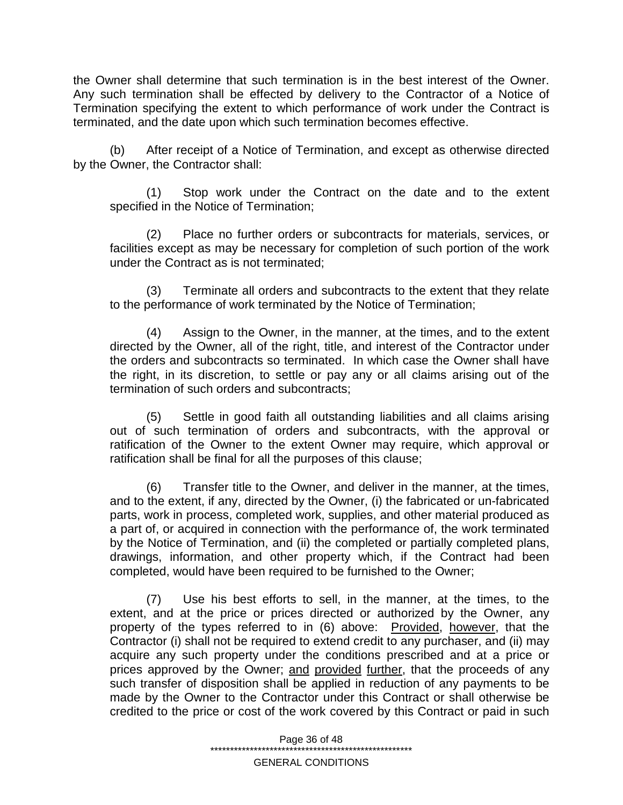the Owner shall determine that such termination is in the best interest of the Owner. Any such termination shall be effected by delivery to the Contractor of a Notice of Termination specifying the extent to which performance of work under the Contract is terminated, and the date upon which such termination becomes effective.

(b) After receipt of a Notice of Termination, and except as otherwise directed by the Owner, the Contractor shall:

(1) Stop work under the Contract on the date and to the extent specified in the Notice of Termination;

(2) Place no further orders or subcontracts for materials, services, or facilities except as may be necessary for completion of such portion of the work under the Contract as is not terminated;

(3) Terminate all orders and subcontracts to the extent that they relate to the performance of work terminated by the Notice of Termination;

(4) Assign to the Owner, in the manner, at the times, and to the extent directed by the Owner, all of the right, title, and interest of the Contractor under the orders and subcontracts so terminated. In which case the Owner shall have the right, in its discretion, to settle or pay any or all claims arising out of the termination of such orders and subcontracts;

(5) Settle in good faith all outstanding liabilities and all claims arising out of such termination of orders and subcontracts, with the approval or ratification of the Owner to the extent Owner may require, which approval or ratification shall be final for all the purposes of this clause;

(6) Transfer title to the Owner, and deliver in the manner, at the times, and to the extent, if any, directed by the Owner, (i) the fabricated or un-fabricated parts, work in process, completed work, supplies, and other material produced as a part of, or acquired in connection with the performance of, the work terminated by the Notice of Termination, and (ii) the completed or partially completed plans, drawings, information, and other property which, if the Contract had been completed, would have been required to be furnished to the Owner;

(7) Use his best efforts to sell, in the manner, at the times, to the extent, and at the price or prices directed or authorized by the Owner, any property of the types referred to in (6) above: Provided, however, that the Contractor (i) shall not be required to extend credit to any purchaser, and (ii) may acquire any such property under the conditions prescribed and at a price or prices approved by the Owner; and provided further, that the proceeds of any such transfer of disposition shall be applied in reduction of any payments to be made by the Owner to the Contractor under this Contract or shall otherwise be credited to the price or cost of the work covered by this Contract or paid in such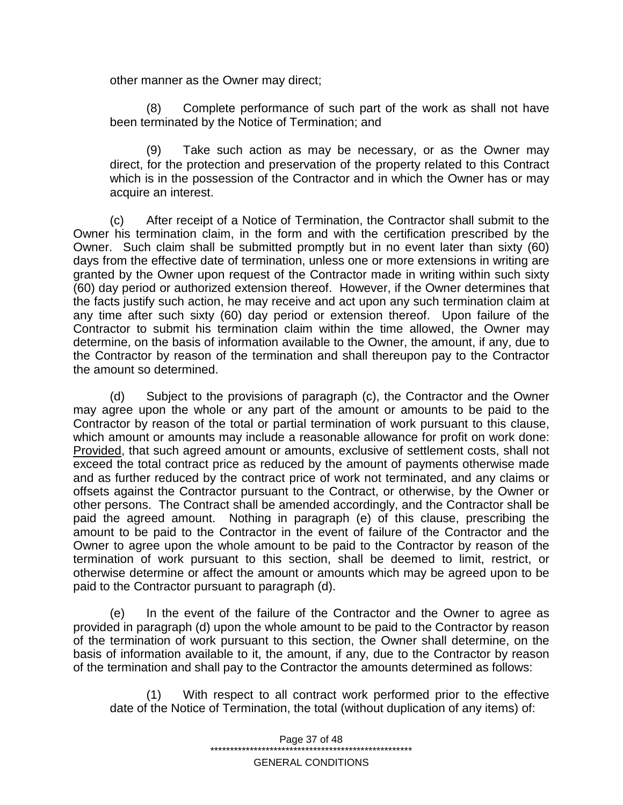other manner as the Owner may direct;

(8) Complete performance of such part of the work as shall not have been terminated by the Notice of Termination; and

(9) Take such action as may be necessary, or as the Owner may direct, for the protection and preservation of the property related to this Contract which is in the possession of the Contractor and in which the Owner has or may acquire an interest.

(c) After receipt of a Notice of Termination, the Contractor shall submit to the Owner his termination claim, in the form and with the certification prescribed by the Owner. Such claim shall be submitted promptly but in no event later than sixty (60) days from the effective date of termination, unless one or more extensions in writing are granted by the Owner upon request of the Contractor made in writing within such sixty (60) day period or authorized extension thereof. However, if the Owner determines that the facts justify such action, he may receive and act upon any such termination claim at any time after such sixty (60) day period or extension thereof. Upon failure of the Contractor to submit his termination claim within the time allowed, the Owner may determine, on the basis of information available to the Owner, the amount, if any, due to the Contractor by reason of the termination and shall thereupon pay to the Contractor the amount so determined.

(d) Subject to the provisions of paragraph (c), the Contractor and the Owner may agree upon the whole or any part of the amount or amounts to be paid to the Contractor by reason of the total or partial termination of work pursuant to this clause, which amount or amounts may include a reasonable allowance for profit on work done: Provided, that such agreed amount or amounts, exclusive of settlement costs, shall not exceed the total contract price as reduced by the amount of payments otherwise made and as further reduced by the contract price of work not terminated, and any claims or offsets against the Contractor pursuant to the Contract, or otherwise, by the Owner or other persons. The Contract shall be amended accordingly, and the Contractor shall be paid the agreed amount. Nothing in paragraph (e) of this clause, prescribing the amount to be paid to the Contractor in the event of failure of the Contractor and the Owner to agree upon the whole amount to be paid to the Contractor by reason of the termination of work pursuant to this section, shall be deemed to limit, restrict, or otherwise determine or affect the amount or amounts which may be agreed upon to be paid to the Contractor pursuant to paragraph (d).

(e) In the event of the failure of the Contractor and the Owner to agree as provided in paragraph (d) upon the whole amount to be paid to the Contractor by reason of the termination of work pursuant to this section, the Owner shall determine, on the basis of information available to it, the amount, if any, due to the Contractor by reason of the termination and shall pay to the Contractor the amounts determined as follows:

(1) With respect to all contract work performed prior to the effective date of the Notice of Termination, the total (without duplication of any items) of:

> Page 37 of 48 \*\*\*\*\*\*\*\*\*\*\*\*\*\*\*\*\*\*\*\*\*\*\*\*\*\*\*\*\*\*\*\*\*\*\*\*\*\*\*\*\*\*\*\*\*\*\*\*\*\*\*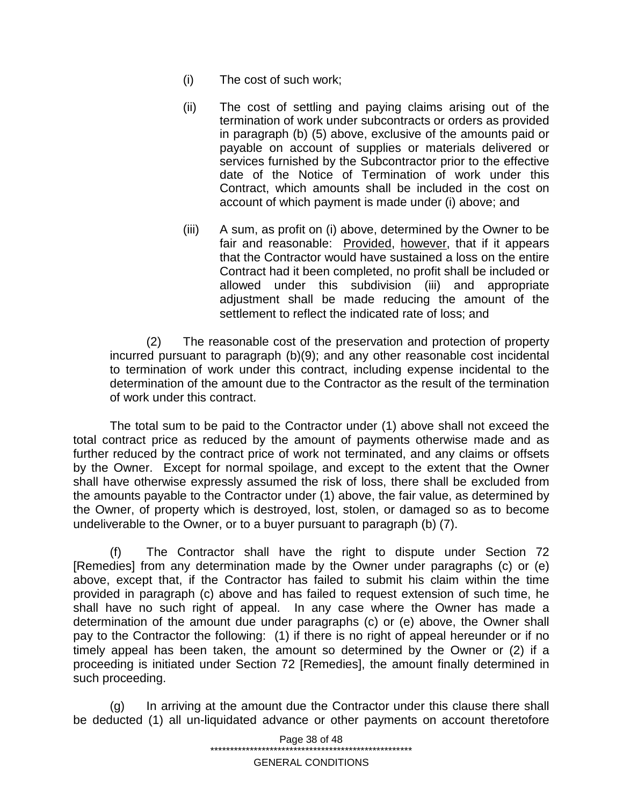- (i) The cost of such work;
- (ii) The cost of settling and paying claims arising out of the termination of work under subcontracts or orders as provided in paragraph (b) (5) above, exclusive of the amounts paid or payable on account of supplies or materials delivered or services furnished by the Subcontractor prior to the effective date of the Notice of Termination of work under this Contract, which amounts shall be included in the cost on account of which payment is made under (i) above; and
- (iii) A sum, as profit on (i) above, determined by the Owner to be fair and reasonable: Provided, however, that if it appears that the Contractor would have sustained a loss on the entire Contract had it been completed, no profit shall be included or allowed under this subdivision (iii) and appropriate adjustment shall be made reducing the amount of the settlement to reflect the indicated rate of loss; and

(2) The reasonable cost of the preservation and protection of property incurred pursuant to paragraph (b)(9); and any other reasonable cost incidental to termination of work under this contract, including expense incidental to the determination of the amount due to the Contractor as the result of the termination of work under this contract.

The total sum to be paid to the Contractor under (1) above shall not exceed the total contract price as reduced by the amount of payments otherwise made and as further reduced by the contract price of work not terminated, and any claims or offsets by the Owner. Except for normal spoilage, and except to the extent that the Owner shall have otherwise expressly assumed the risk of loss, there shall be excluded from the amounts payable to the Contractor under (1) above, the fair value, as determined by the Owner, of property which is destroyed, lost, stolen, or damaged so as to become undeliverable to the Owner, or to a buyer pursuant to paragraph (b) (7).

The Contractor shall have the right to dispute under Section 72 [Remedies] from any determination made by the Owner under paragraphs (c) or (e) above, except that, if the Contractor has failed to submit his claim within the time provided in paragraph (c) above and has failed to request extension of such time, he shall have no such right of appeal. In any case where the Owner has made a determination of the amount due under paragraphs (c) or (e) above, the Owner shall pay to the Contractor the following: (1) if there is no right of appeal hereunder or if no timely appeal has been taken, the amount so determined by the Owner or (2) if a proceeding is initiated under Section 72 [Remedies], the amount finally determined in such proceeding.

(g) In arriving at the amount due the Contractor under this clause there shall be deducted (1) all un-liquidated advance or other payments on account theretofore

> Page 38 of 48 \*\*\*\*\*\*\*\*\*\*\*\*\*\*\*\*\*\*\*\*\*\*\*\*\*\*\*\*\*\*\*\*\*\*\*\*\*\*\*\*\*\*\*\*\*\*\*\*\*\*\*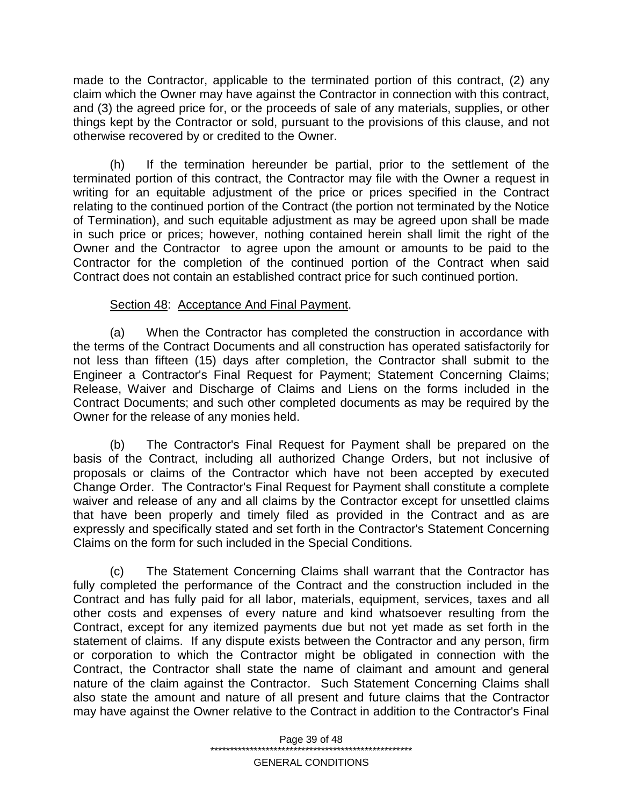made to the Contractor, applicable to the terminated portion of this contract, (2) any claim which the Owner may have against the Contractor in connection with this contract, and (3) the agreed price for, or the proceeds of sale of any materials, supplies, or other things kept by the Contractor or sold, pursuant to the provisions of this clause, and not otherwise recovered by or credited to the Owner.

(h) If the termination hereunder be partial, prior to the settlement of the terminated portion of this contract, the Contractor may file with the Owner a request in writing for an equitable adjustment of the price or prices specified in the Contract relating to the continued portion of the Contract (the portion not terminated by the Notice of Termination), and such equitable adjustment as may be agreed upon shall be made in such price or prices; however, nothing contained herein shall limit the right of the Owner and the Contractor to agree upon the amount or amounts to be paid to the Contractor for the completion of the continued portion of the Contract when said Contract does not contain an established contract price for such continued portion.

# Section 48: Acceptance And Final Payment.

(a) When the Contractor has completed the construction in accordance with the terms of the Contract Documents and all construction has operated satisfactorily for not less than fifteen (15) days after completion, the Contractor shall submit to the Engineer a Contractor's Final Request for Payment; Statement Concerning Claims; Release, Waiver and Discharge of Claims and Liens on the forms included in the Contract Documents; and such other completed documents as may be required by the Owner for the release of any monies held.

(b) The Contractor's Final Request for Payment shall be prepared on the basis of the Contract, including all authorized Change Orders, but not inclusive of proposals or claims of the Contractor which have not been accepted by executed Change Order. The Contractor's Final Request for Payment shall constitute a complete waiver and release of any and all claims by the Contractor except for unsettled claims that have been properly and timely filed as provided in the Contract and as are expressly and specifically stated and set forth in the Contractor's Statement Concerning Claims on the form for such included in the Special Conditions.

(c) The Statement Concerning Claims shall warrant that the Contractor has fully completed the performance of the Contract and the construction included in the Contract and has fully paid for all labor, materials, equipment, services, taxes and all other costs and expenses of every nature and kind whatsoever resulting from the Contract, except for any itemized payments due but not yet made as set forth in the statement of claims. If any dispute exists between the Contractor and any person, firm or corporation to which the Contractor might be obligated in connection with the Contract, the Contractor shall state the name of claimant and amount and general nature of the claim against the Contractor. Such Statement Concerning Claims shall also state the amount and nature of all present and future claims that the Contractor may have against the Owner relative to the Contract in addition to the Contractor's Final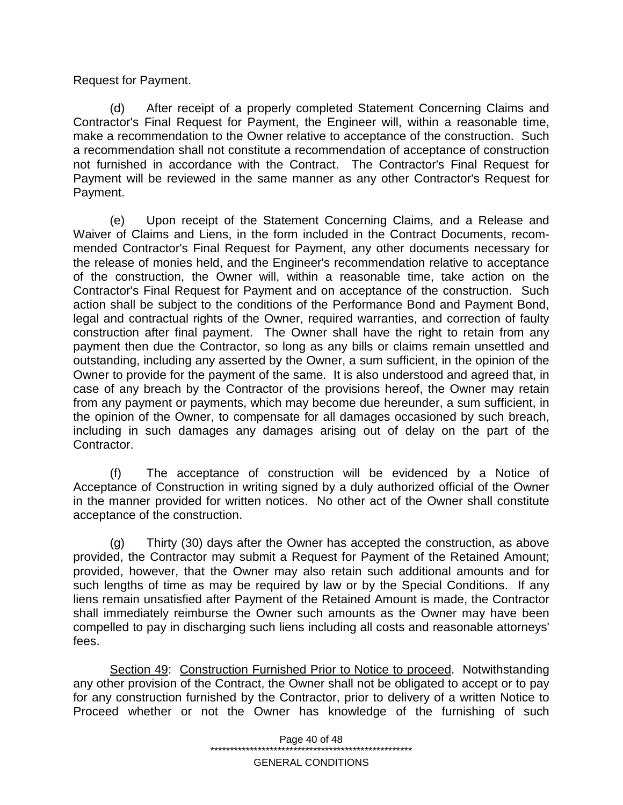Request for Payment.

(d) After receipt of a properly completed Statement Concerning Claims and Contractor's Final Request for Payment, the Engineer will, within a reasonable time, make a recommendation to the Owner relative to acceptance of the construction. Such a recommendation shall not constitute a recommendation of acceptance of construction not furnished in accordance with the Contract. The Contractor's Final Request for Payment will be reviewed in the same manner as any other Contractor's Request for Payment.

(e) Upon receipt of the Statement Concerning Claims, and a Release and Waiver of Claims and Liens, in the form included in the Contract Documents, recommended Contractor's Final Request for Payment, any other documents necessary for the release of monies held, and the Engineer's recommendation relative to acceptance of the construction, the Owner will, within a reasonable time, take action on the Contractor's Final Request for Payment and on acceptance of the construction. Such action shall be subject to the conditions of the Performance Bond and Payment Bond, legal and contractual rights of the Owner, required warranties, and correction of faulty construction after final payment. The Owner shall have the right to retain from any payment then due the Contractor, so long as any bills or claims remain unsettled and outstanding, including any asserted by the Owner, a sum sufficient, in the opinion of the Owner to provide for the payment of the same. It is also understood and agreed that, in case of any breach by the Contractor of the provisions hereof, the Owner may retain from any payment or payments, which may become due hereunder, a sum sufficient, in the opinion of the Owner, to compensate for all damages occasioned by such breach, including in such damages any damages arising out of delay on the part of the Contractor.

(f) The acceptance of construction will be evidenced by a Notice of Acceptance of Construction in writing signed by a duly authorized official of the Owner in the manner provided for written notices. No other act of the Owner shall constitute acceptance of the construction.

(g) Thirty (30) days after the Owner has accepted the construction, as above provided, the Contractor may submit a Request for Payment of the Retained Amount; provided, however, that the Owner may also retain such additional amounts and for such lengths of time as may be required by law or by the Special Conditions. If any liens remain unsatisfied after Payment of the Retained Amount is made, the Contractor shall immediately reimburse the Owner such amounts as the Owner may have been compelled to pay in discharging such liens including all costs and reasonable attorneys' fees.

Section 49: Construction Furnished Prior to Notice to proceed. Notwithstanding any other provision of the Contract, the Owner shall not be obligated to accept or to pay for any construction furnished by the Contractor, prior to delivery of a written Notice to Proceed whether or not the Owner has knowledge of the furnishing of such

> Page 40 of 48 \*\*\*\*\*\*\*\*\*\*\*\*\*\*\*\*\*\*\*\*\*\*\*\*\*\*\*\*\*\*\*\*\*\*\*\*\*\*\*\*\*\*\*\*\*\*\*\*\*\*\*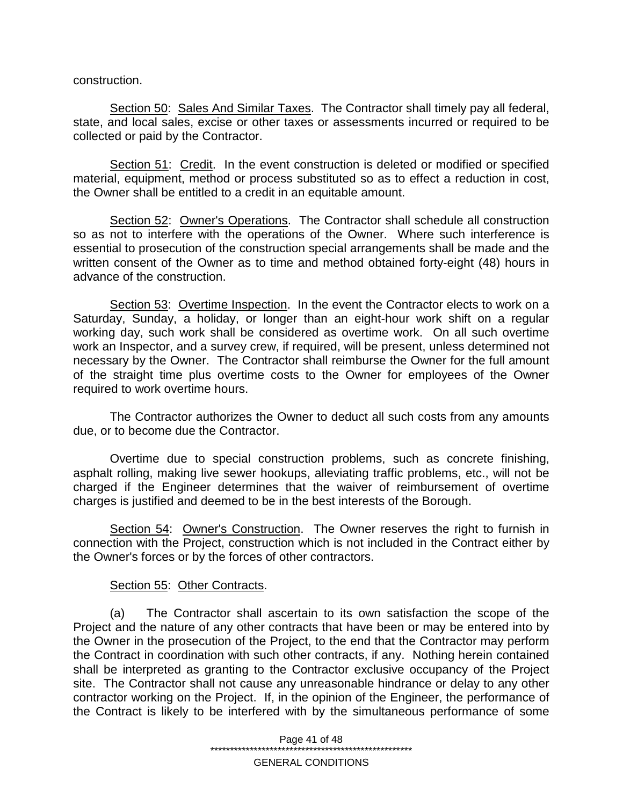construction.

Section 50: Sales And Similar Taxes. The Contractor shall timely pay all federal, state, and local sales, excise or other taxes or assessments incurred or required to be collected or paid by the Contractor.

Section 51: Credit. In the event construction is deleted or modified or specified material, equipment, method or process substituted so as to effect a reduction in cost, the Owner shall be entitled to a credit in an equitable amount.

Section 52: Owner's Operations. The Contractor shall schedule all construction so as not to interfere with the operations of the Owner. Where such interference is essential to prosecution of the construction special arrangements shall be made and the written consent of the Owner as to time and method obtained forty-eight (48) hours in advance of the construction.

Section 53: Overtime Inspection. In the event the Contractor elects to work on a Saturday, Sunday, a holiday, or longer than an eight-hour work shift on a regular working day, such work shall be considered as overtime work. On all such overtime work an Inspector, and a survey crew, if required, will be present, unless determined not necessary by the Owner. The Contractor shall reimburse the Owner for the full amount of the straight time plus overtime costs to the Owner for employees of the Owner required to work overtime hours.

The Contractor authorizes the Owner to deduct all such costs from any amounts due, or to become due the Contractor.

Overtime due to special construction problems, such as concrete finishing, asphalt rolling, making live sewer hookups, alleviating traffic problems, etc., will not be charged if the Engineer determines that the waiver of reimbursement of overtime charges is justified and deemed to be in the best interests of the Borough.

Section 54: Owner's Construction. The Owner reserves the right to furnish in connection with the Project, construction which is not included in the Contract either by the Owner's forces or by the forces of other contractors.

### Section 55: Other Contracts.

(a) The Contractor shall ascertain to its own satisfaction the scope of the Project and the nature of any other contracts that have been or may be entered into by the Owner in the prosecution of the Project, to the end that the Contractor may perform the Contract in coordination with such other contracts, if any. Nothing herein contained shall be interpreted as granting to the Contractor exclusive occupancy of the Project site. The Contractor shall not cause any unreasonable hindrance or delay to any other contractor working on the Project. If, in the opinion of the Engineer, the performance of the Contract is likely to be interfered with by the simultaneous performance of some

> Page 41 of 48 \*\*\*\*\*\*\*\*\*\*\*\*\*\*\*\*\*\*\*\*\*\*\*\*\*\*\*\*\*\*\*\*\*\*\*\*\*\*\*\*\*\*\*\*\*\*\*\*\*\*\*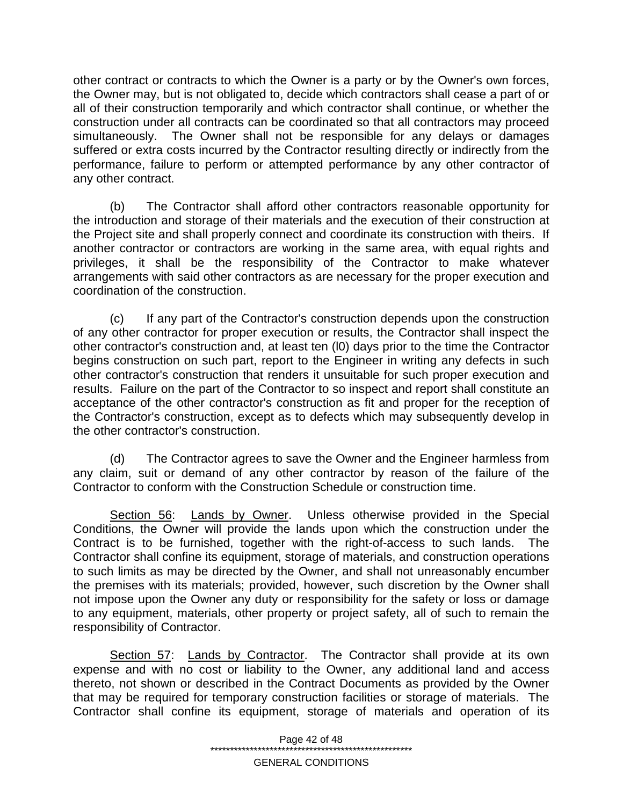other contract or contracts to which the Owner is a party or by the Owner's own forces, the Owner may, but is not obligated to, decide which contractors shall cease a part of or all of their construction temporarily and which contractor shall continue, or whether the construction under all contracts can be coordinated so that all contractors may proceed simultaneously. The Owner shall not be responsible for any delays or damages suffered or extra costs incurred by the Contractor resulting directly or indirectly from the performance, failure to perform or attempted performance by any other contractor of any other contract.

(b) The Contractor shall afford other contractors reasonable opportunity for the introduction and storage of their materials and the execution of their construction at the Project site and shall properly connect and coordinate its construction with theirs. If another contractor or contractors are working in the same area, with equal rights and privileges, it shall be the responsibility of the Contractor to make whatever arrangements with said other contractors as are necessary for the proper execution and coordination of the construction.

(c) If any part of the Contractor's construction depends upon the construction of any other contractor for proper execution or results, the Contractor shall inspect the other contractor's construction and, at least ten (l0) days prior to the time the Contractor begins construction on such part, report to the Engineer in writing any defects in such other contractor's construction that renders it unsuitable for such proper execution and results. Failure on the part of the Contractor to so inspect and report shall constitute an acceptance of the other contractor's construction as fit and proper for the reception of the Contractor's construction, except as to defects which may subsequently develop in the other contractor's construction.

(d) The Contractor agrees to save the Owner and the Engineer harmless from any claim, suit or demand of any other contractor by reason of the failure of the Contractor to conform with the Construction Schedule or construction time.

Section 56: Lands by Owner. Unless otherwise provided in the Special Conditions, the Owner will provide the lands upon which the construction under the Contract is to be furnished, together with the right-of-access to such lands. The Contractor shall confine its equipment, storage of materials, and construction operations to such limits as may be directed by the Owner, and shall not unreasonably encumber the premises with its materials; provided, however, such discretion by the Owner shall not impose upon the Owner any duty or responsibility for the safety or loss or damage to any equipment, materials, other property or project safety, all of such to remain the responsibility of Contractor.

Section 57: Lands by Contractor. The Contractor shall provide at its own expense and with no cost or liability to the Owner, any additional land and access thereto, not shown or described in the Contract Documents as provided by the Owner that may be required for temporary construction facilities or storage of materials. The Contractor shall confine its equipment, storage of materials and operation of its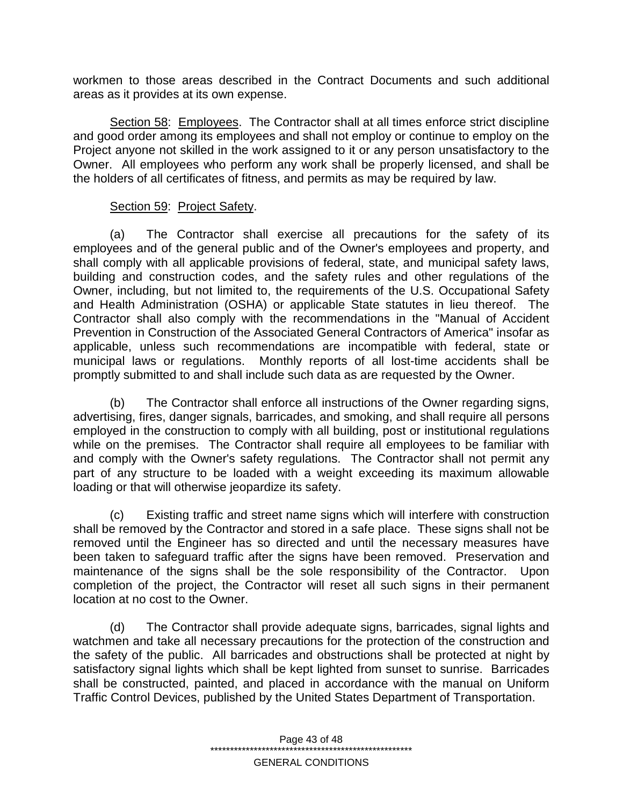workmen to those areas described in the Contract Documents and such additional areas as it provides at its own expense.

Section 58: Employees. The Contractor shall at all times enforce strict discipline and good order among its employees and shall not employ or continue to employ on the Project anyone not skilled in the work assigned to it or any person unsatisfactory to the Owner. All employees who perform any work shall be properly licensed, and shall be the holders of all certificates of fitness, and permits as may be required by law.

### Section 59: Project Safety.

(a) The Contractor shall exercise all precautions for the safety of its employees and of the general public and of the Owner's employees and property, and shall comply with all applicable provisions of federal, state, and municipal safety laws, building and construction codes, and the safety rules and other regulations of the Owner, including, but not limited to, the requirements of the U.S. Occupational Safety and Health Administration (OSHA) or applicable State statutes in lieu thereof. The Contractor shall also comply with the recommendations in the "Manual of Accident Prevention in Construction of the Associated General Contractors of America" insofar as applicable, unless such recommendations are incompatible with federal, state or municipal laws or regulations. Monthly reports of all lost-time accidents shall be promptly submitted to and shall include such data as are requested by the Owner.

(b) The Contractor shall enforce all instructions of the Owner regarding signs, advertising, fires, danger signals, barricades, and smoking, and shall require all persons employed in the construction to comply with all building, post or institutional regulations while on the premises. The Contractor shall require all employees to be familiar with and comply with the Owner's safety regulations. The Contractor shall not permit any part of any structure to be loaded with a weight exceeding its maximum allowable loading or that will otherwise jeopardize its safety.

(c) Existing traffic and street name signs which will interfere with construction shall be removed by the Contractor and stored in a safe place. These signs shall not be removed until the Engineer has so directed and until the necessary measures have been taken to safeguard traffic after the signs have been removed. Preservation and maintenance of the signs shall be the sole responsibility of the Contractor. Upon completion of the project, the Contractor will reset all such signs in their permanent location at no cost to the Owner.

(d) The Contractor shall provide adequate signs, barricades, signal lights and watchmen and take all necessary precautions for the protection of the construction and the safety of the public. All barricades and obstructions shall be protected at night by satisfactory signal lights which shall be kept lighted from sunset to sunrise. Barricades shall be constructed, painted, and placed in accordance with the manual on Uniform Traffic Control Devices, published by the United States Department of Transportation.

> Page 43 of 48 \*\*\*\*\*\*\*\*\*\*\*\*\*\*\*\*\*\*\*\*\*\*\*\*\*\*\*\*\*\*\*\*\*\*\*\*\*\*\*\*\*\*\*\*\*\*\*\*\*\*\*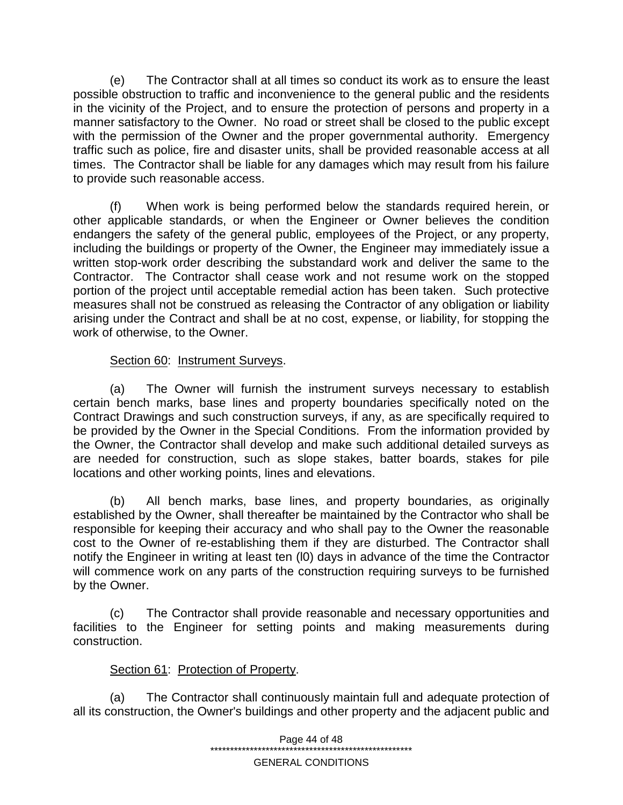(e) The Contractor shall at all times so conduct its work as to ensure the least possible obstruction to traffic and inconvenience to the general public and the residents in the vicinity of the Project, and to ensure the protection of persons and property in a manner satisfactory to the Owner. No road or street shall be closed to the public except with the permission of the Owner and the proper governmental authority. Emergency traffic such as police, fire and disaster units, shall be provided reasonable access at all times. The Contractor shall be liable for any damages which may result from his failure to provide such reasonable access.

(f) When work is being performed below the standards required herein, or other applicable standards, or when the Engineer or Owner believes the condition endangers the safety of the general public, employees of the Project, or any property, including the buildings or property of the Owner, the Engineer may immediately issue a written stop-work order describing the substandard work and deliver the same to the Contractor. The Contractor shall cease work and not resume work on the stopped portion of the project until acceptable remedial action has been taken. Such protective measures shall not be construed as releasing the Contractor of any obligation or liability arising under the Contract and shall be at no cost, expense, or liability, for stopping the work of otherwise, to the Owner.

# Section 60: Instrument Surveys.

(a) The Owner will furnish the instrument surveys necessary to establish certain bench marks, base lines and property boundaries specifically noted on the Contract Drawings and such construction surveys, if any, as are specifically required to be provided by the Owner in the Special Conditions. From the information provided by the Owner, the Contractor shall develop and make such additional detailed surveys as are needed for construction, such as slope stakes, batter boards, stakes for pile locations and other working points, lines and elevations.

(b) All bench marks, base lines, and property boundaries, as originally established by the Owner, shall thereafter be maintained by the Contractor who shall be responsible for keeping their accuracy and who shall pay to the Owner the reasonable cost to the Owner of re-establishing them if they are disturbed. The Contractor shall notify the Engineer in writing at least ten (l0) days in advance of the time the Contractor will commence work on any parts of the construction requiring surveys to be furnished by the Owner.

(c) The Contractor shall provide reasonable and necessary opportunities and facilities to the Engineer for setting points and making measurements during construction.

### Section 61: Protection of Property.

(a) The Contractor shall continuously maintain full and adequate protection of all its construction, the Owner's buildings and other property and the adjacent public and

> Page 44 of 48 \*\*\*\*\*\*\*\*\*\*\*\*\*\*\*\*\*\*\*\*\*\*\*\*\*\*\*\*\*\*\*\*\*\*\*\*\*\*\*\*\*\*\*\*\*\*\*\*\*\*\*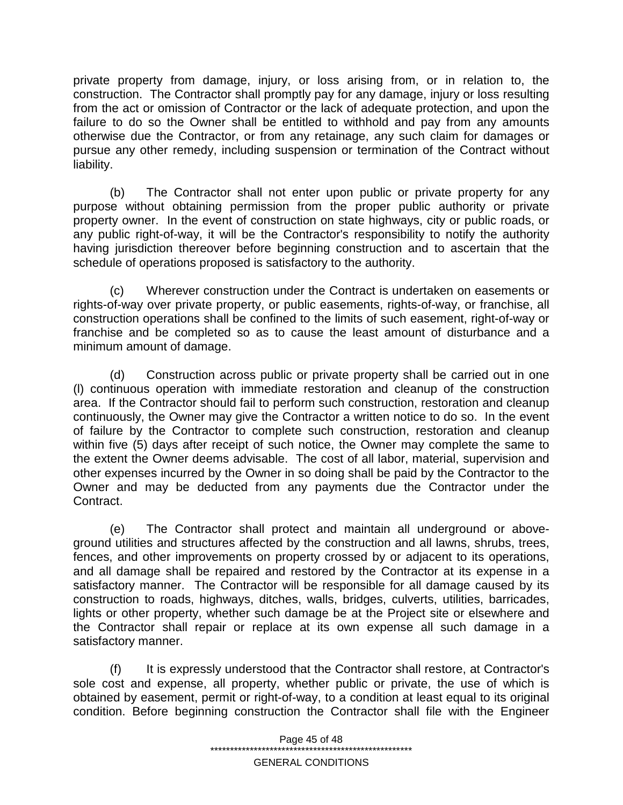private property from damage, injury, or loss arising from, or in relation to, the construction. The Contractor shall promptly pay for any damage, injury or loss resulting from the act or omission of Contractor or the lack of adequate protection, and upon the failure to do so the Owner shall be entitled to withhold and pay from any amounts otherwise due the Contractor, or from any retainage, any such claim for damages or pursue any other remedy, including suspension or termination of the Contract without liability.

(b) The Contractor shall not enter upon public or private property for any purpose without obtaining permission from the proper public authority or private property owner. In the event of construction on state highways, city or public roads, or any public right-of-way, it will be the Contractor's responsibility to notify the authority having jurisdiction thereover before beginning construction and to ascertain that the schedule of operations proposed is satisfactory to the authority.

(c) Wherever construction under the Contract is undertaken on easements or rights-of-way over private property, or public easements, rights-of-way, or franchise, all construction operations shall be confined to the limits of such easement, right-of-way or franchise and be completed so as to cause the least amount of disturbance and a minimum amount of damage.

(d) Construction across public or private property shall be carried out in one (l) continuous operation with immediate restoration and cleanup of the construction area. If the Contractor should fail to perform such construction, restoration and cleanup continuously, the Owner may give the Contractor a written notice to do so. In the event of failure by the Contractor to complete such construction, restoration and cleanup within five (5) days after receipt of such notice, the Owner may complete the same to the extent the Owner deems advisable. The cost of all labor, material, supervision and other expenses incurred by the Owner in so doing shall be paid by the Contractor to the Owner and may be deducted from any payments due the Contractor under the Contract.

(e) The Contractor shall protect and maintain all underground or aboveground utilities and structures affected by the construction and all lawns, shrubs, trees, fences, and other improvements on property crossed by or adjacent to its operations, and all damage shall be repaired and restored by the Contractor at its expense in a satisfactory manner. The Contractor will be responsible for all damage caused by its construction to roads, highways, ditches, walls, bridges, culverts, utilities, barricades, lights or other property, whether such damage be at the Project site or elsewhere and the Contractor shall repair or replace at its own expense all such damage in a satisfactory manner.

(f) It is expressly understood that the Contractor shall restore, at Contractor's sole cost and expense, all property, whether public or private, the use of which is obtained by easement, permit or right-of-way, to a condition at least equal to its original condition. Before beginning construction the Contractor shall file with the Engineer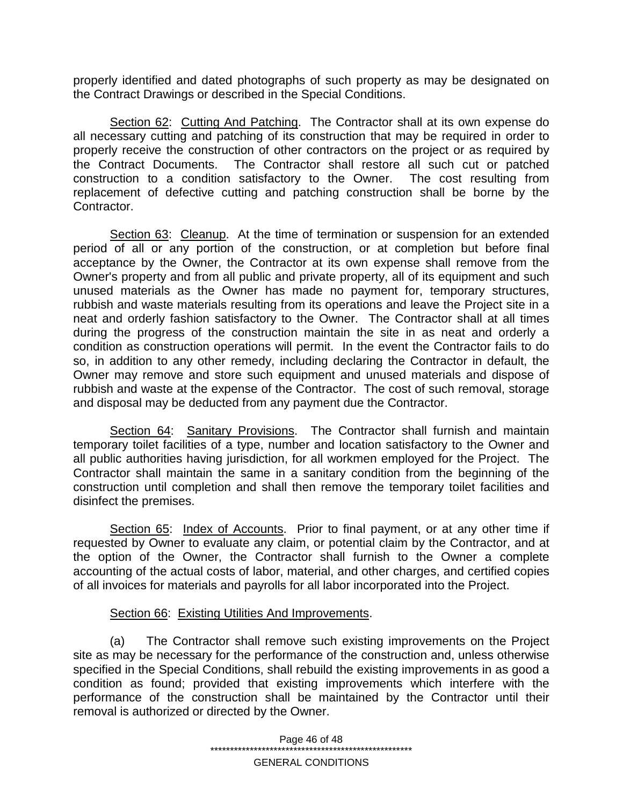properly identified and dated photographs of such property as may be designated on the Contract Drawings or described in the Special Conditions.

Section 62: Cutting And Patching. The Contractor shall at its own expense do all necessary cutting and patching of its construction that may be required in order to properly receive the construction of other contractors on the project or as required by the Contract Documents. The Contractor shall restore all such cut or patched construction to a condition satisfactory to the Owner. The cost resulting from replacement of defective cutting and patching construction shall be borne by the Contractor.

Section 63: Cleanup. At the time of termination or suspension for an extended period of all or any portion of the construction, or at completion but before final acceptance by the Owner, the Contractor at its own expense shall remove from the Owner's property and from all public and private property, all of its equipment and such unused materials as the Owner has made no payment for, temporary structures, rubbish and waste materials resulting from its operations and leave the Project site in a neat and orderly fashion satisfactory to the Owner. The Contractor shall at all times during the progress of the construction maintain the site in as neat and orderly a condition as construction operations will permit. In the event the Contractor fails to do so, in addition to any other remedy, including declaring the Contractor in default, the Owner may remove and store such equipment and unused materials and dispose of rubbish and waste at the expense of the Contractor. The cost of such removal, storage and disposal may be deducted from any payment due the Contractor.

Section 64: Sanitary Provisions. The Contractor shall furnish and maintain temporary toilet facilities of a type, number and location satisfactory to the Owner and all public authorities having jurisdiction, for all workmen employed for the Project. The Contractor shall maintain the same in a sanitary condition from the beginning of the construction until completion and shall then remove the temporary toilet facilities and disinfect the premises.

Section 65: Index of Accounts. Prior to final payment, or at any other time if requested by Owner to evaluate any claim, or potential claim by the Contractor, and at the option of the Owner, the Contractor shall furnish to the Owner a complete accounting of the actual costs of labor, material, and other charges, and certified copies of all invoices for materials and payrolls for all labor incorporated into the Project.

### Section 66: Existing Utilities And Improvements.

(a) The Contractor shall remove such existing improvements on the Project site as may be necessary for the performance of the construction and, unless otherwise specified in the Special Conditions, shall rebuild the existing improvements in as good a condition as found; provided that existing improvements which interfere with the performance of the construction shall be maintained by the Contractor until their removal is authorized or directed by the Owner.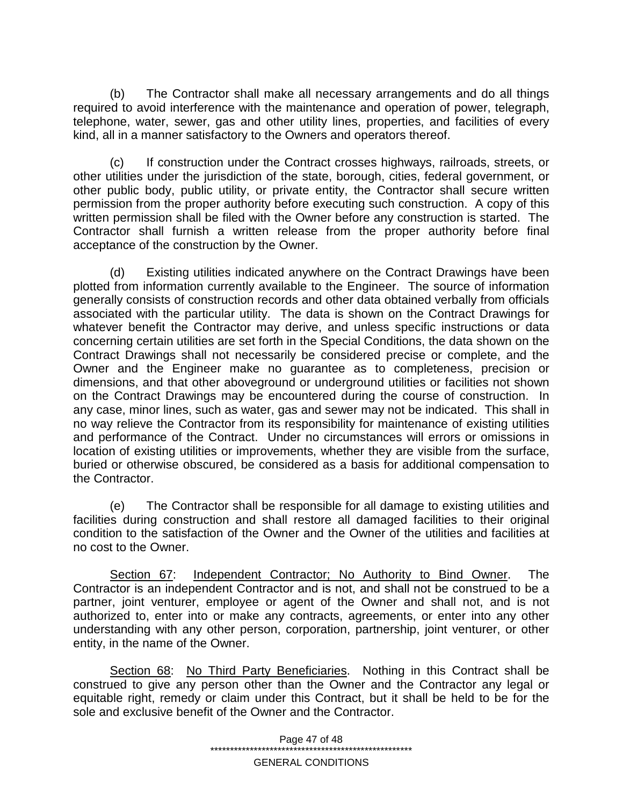(b) The Contractor shall make all necessary arrangements and do all things required to avoid interference with the maintenance and operation of power, telegraph, telephone, water, sewer, gas and other utility lines, properties, and facilities of every kind, all in a manner satisfactory to the Owners and operators thereof.

(c) If construction under the Contract crosses highways, railroads, streets, or other utilities under the jurisdiction of the state, borough, cities, federal government, or other public body, public utility, or private entity, the Contractor shall secure written permission from the proper authority before executing such construction. A copy of this written permission shall be filed with the Owner before any construction is started. The Contractor shall furnish a written release from the proper authority before final acceptance of the construction by the Owner.

(d) Existing utilities indicated anywhere on the Contract Drawings have been plotted from information currently available to the Engineer. The source of information generally consists of construction records and other data obtained verbally from officials associated with the particular utility. The data is shown on the Contract Drawings for whatever benefit the Contractor may derive, and unless specific instructions or data concerning certain utilities are set forth in the Special Conditions, the data shown on the Contract Drawings shall not necessarily be considered precise or complete, and the Owner and the Engineer make no guarantee as to completeness, precision or dimensions, and that other aboveground or underground utilities or facilities not shown on the Contract Drawings may be encountered during the course of construction. In any case, minor lines, such as water, gas and sewer may not be indicated. This shall in no way relieve the Contractor from its responsibility for maintenance of existing utilities and performance of the Contract. Under no circumstances will errors or omissions in location of existing utilities or improvements, whether they are visible from the surface, buried or otherwise obscured, be considered as a basis for additional compensation to the Contractor.

(e) The Contractor shall be responsible for all damage to existing utilities and facilities during construction and shall restore all damaged facilities to their original condition to the satisfaction of the Owner and the Owner of the utilities and facilities at no cost to the Owner.

Section 67: Independent Contractor; No Authority to Bind Owner. The Contractor is an independent Contractor and is not, and shall not be construed to be a partner, joint venturer, employee or agent of the Owner and shall not, and is not authorized to, enter into or make any contracts, agreements, or enter into any other understanding with any other person, corporation, partnership, joint venturer, or other entity, in the name of the Owner.

Section 68: No Third Party Beneficiaries. Nothing in this Contract shall be construed to give any person other than the Owner and the Contractor any legal or equitable right, remedy or claim under this Contract, but it shall be held to be for the sole and exclusive benefit of the Owner and the Contractor.